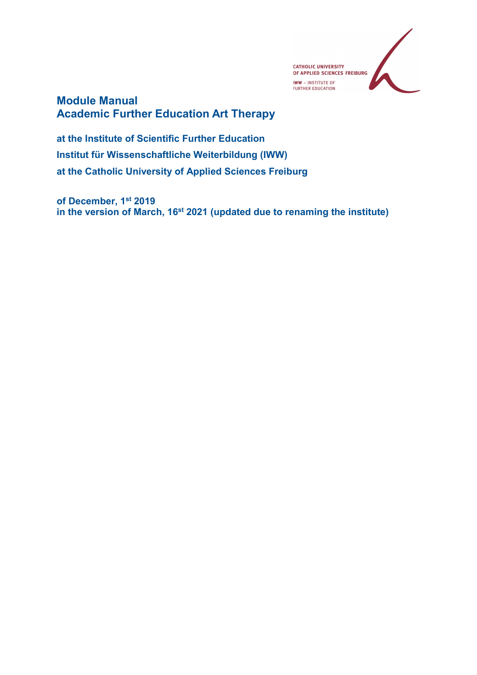

#### Module Manual Academic Further Education Art Therapy

at the Institute of Scientific Further Education Institut für Wissenschaftliche Weiterbildung (IWW) at the Catholic University of Applied Sciences Freiburg

of December, 1st 2019 in the version of March, 16<sup>st</sup> 2021 (updated due to renaming the institute)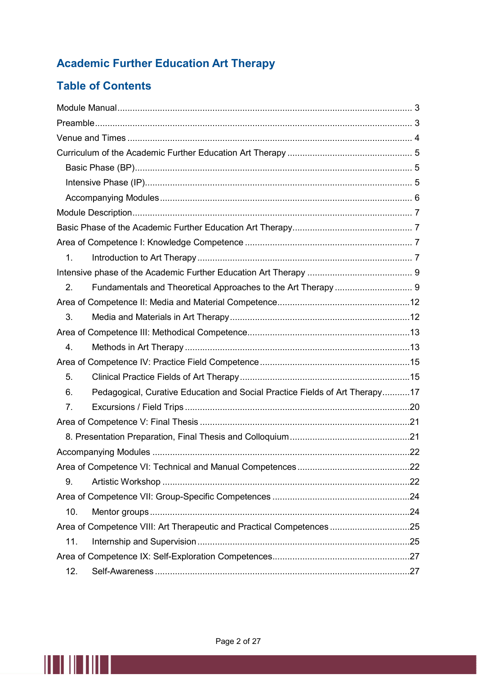### Academic Further Education Art Therapy

#### Table of Contents

| 1.                                                                                |  |
|-----------------------------------------------------------------------------------|--|
|                                                                                   |  |
| 2.                                                                                |  |
|                                                                                   |  |
| 3.                                                                                |  |
|                                                                                   |  |
| 4.                                                                                |  |
|                                                                                   |  |
| 5.                                                                                |  |
| Pedagogical, Curative Education and Social Practice Fields of Art Therapy17<br>6. |  |
| 7.                                                                                |  |
|                                                                                   |  |
|                                                                                   |  |
|                                                                                   |  |
|                                                                                   |  |
| 9.                                                                                |  |
|                                                                                   |  |
| 10.                                                                               |  |
| Area of Competence VIII: Art Therapeutic and Practical Competences 25             |  |
| 11.                                                                               |  |
|                                                                                   |  |
| 12.                                                                               |  |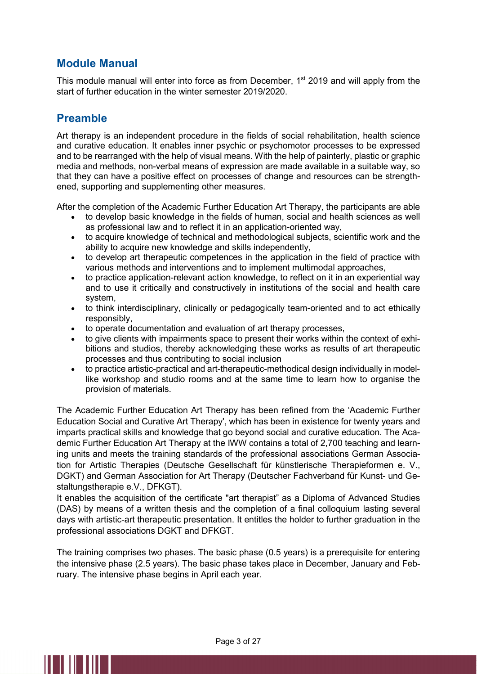#### Module Manual

This module manual will enter into force as from December, 1<sup>st</sup> 2019 and will apply from the start of further education in the winter semester 2019/2020.

#### Preamble

Art therapy is an independent procedure in the fields of social rehabilitation, health science and curative education. It enables inner psychic or psychomotor processes to be expressed and to be rearranged with the help of visual means. With the help of painterly, plastic or graphic media and methods, non-verbal means of expression are made available in a suitable way, so that they can have a positive effect on processes of change and resources can be strengthened, supporting and supplementing other measures.

After the completion of the Academic Further Education Art Therapy, the participants are able

- to develop basic knowledge in the fields of human, social and health sciences as well as professional law and to reflect it in an application-oriented way,
- to acquire knowledge of technical and methodological subjects, scientific work and the ability to acquire new knowledge and skills independently,
- to develop art therapeutic competences in the application in the field of practice with various methods and interventions and to implement multimodal approaches,
- to practice application-relevant action knowledge, to reflect on it in an experiential way and to use it critically and constructively in institutions of the social and health care system,
- to think interdisciplinary, clinically or pedagogically team-oriented and to act ethically responsibly,
- to operate documentation and evaluation of art therapy processes,
- to give clients with impairments space to present their works within the context of exhibitions and studios, thereby acknowledging these works as results of art therapeutic processes and thus contributing to social inclusion
- to practice artistic-practical and art-therapeutic-methodical design individually in modellike workshop and studio rooms and at the same time to learn how to organise the provision of materials.

The Academic Further Education Art Therapy has been refined from the 'Academic Further Education Social and Curative Art Therapy', which has been in existence for twenty years and imparts practical skills and knowledge that go beyond social and curative education. The Academic Further Education Art Therapy at the IWW contains a total of 2,700 teaching and learning units and meets the training standards of the professional associations German Association for Artistic Therapies (Deutsche Gesellschaft für künstlerische Therapieformen e. V., DGKT) and German Association for Art Therapy (Deutscher Fachverband für Kunst- und Gestaltungstherapie e.V., DFKGT).

It enables the acquisition of the certificate "art therapist" as a Diploma of Advanced Studies (DAS) by means of a written thesis and the completion of a final colloquium lasting several days with artistic-art therapeutic presentation. It entitles the holder to further graduation in the professional associations DGKT and DFKGT.

The training comprises two phases. The basic phase (0.5 years) is a prerequisite for entering the intensive phase (2.5 years). The basic phase takes place in December, January and February. The intensive phase begins in April each year.

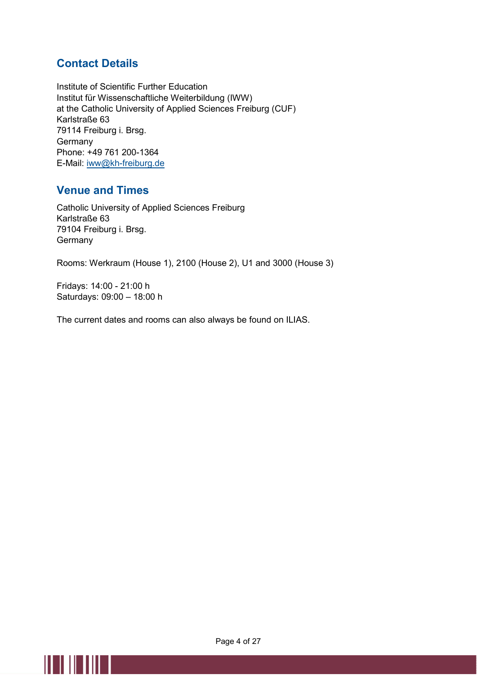#### Contact Details

Institute of Scientific Further Education Institut für Wissenschaftliche Weiterbildung (IWW) at the Catholic University of Applied Sciences Freiburg (CUF) Karlstraße 63 79114 Freiburg i. Brsg. Germany Phone: +49 761 200-1364 E-Mail: iww@kh-freiburg.de

#### Venue and Times

Catholic University of Applied Sciences Freiburg Karlstraße 63 79104 Freiburg i. Brsg. **Germany** 

Rooms: Werkraum (House 1), 2100 (House 2), U1 and 3000 (House 3)

Fridays: 14:00 - 21:00 h Saturdays: 09:00 – 18:00 h

<u>MTHITIN I</u>

The current dates and rooms can also always be found on ILIAS.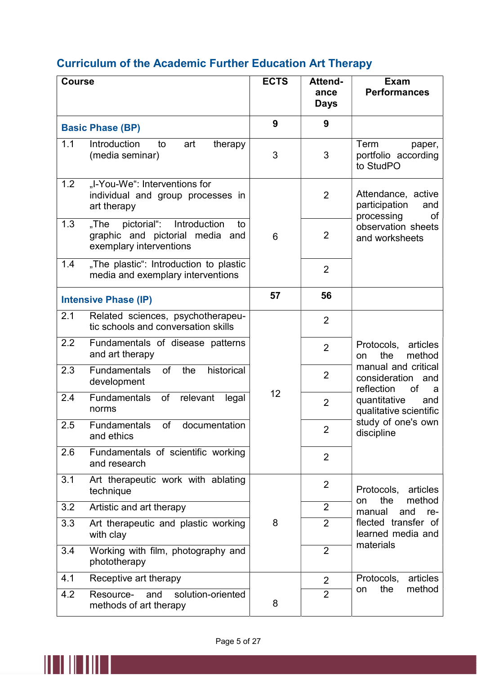# Curriculum of the Academic Further Education Art Therapy

| <b>Course</b> |                                                                                                         | <b>ECTS</b> | Attend-<br>ance | <b>Exam</b><br><b>Performances</b>                                   |
|---------------|---------------------------------------------------------------------------------------------------------|-------------|-----------------|----------------------------------------------------------------------|
|               |                                                                                                         |             | <b>Days</b>     |                                                                      |
|               | <b>Basic Phase (BP)</b>                                                                                 | 9           | 9               |                                                                      |
| 1.1           | Introduction<br>art<br>to<br>therapy<br>(media seminar)                                                 | 3           | 3               | Term<br>paper,<br>portfolio according<br>to StudPO                   |
| 1.2           | "I-You-We": Interventions for<br>individual and group processes in<br>art therapy                       |             | $\overline{2}$  | Attendance, active<br>participation<br>and<br>processing<br>οf       |
| 1.3           | pictorial":<br>Introduction<br>"The<br>to<br>graphic and pictorial media and<br>exemplary interventions | 6           | 2               | observation sheets<br>and worksheets                                 |
| 1.4           | "The plastic": Introduction to plastic<br>media and exemplary interventions                             |             | $\overline{2}$  |                                                                      |
|               | <b>Intensive Phase (IP)</b>                                                                             | 57          | 56              |                                                                      |
| 2.1           | Related sciences, psychotherapeu-<br>tic schools and conversation skills                                |             | $\overline{2}$  |                                                                      |
| 2.2           | Fundamentals of disease patterns<br>and art therapy                                                     |             | $\overline{2}$  | Protocols,<br>articles<br>the<br>method<br>on                        |
| 2.3           | of<br>historical<br><b>Fundamentals</b><br>the<br>development                                           |             | $\overline{2}$  | manual and critical<br>consideration<br>and<br>reflection<br>of<br>a |
| 2.4           | Fundamentals<br>of<br>relevant<br>legal<br>norms                                                        | 12          | $\overline{2}$  | quantitative<br>and<br>qualitative scientific                        |
| 2.5           | of<br><b>Fundamentals</b><br>documentation<br>and ethics                                                |             | 2               | study of one's own<br>discipline                                     |
| 2.6           | Fundamentals of scientific working<br>and research                                                      |             | $\overline{2}$  |                                                                      |
| 3.1           | Art therapeutic work with ablating<br>technique                                                         |             | $\overline{2}$  | Protocols,<br>articles                                               |
| 3.2           | Artistic and art therapy                                                                                |             | $\overline{2}$  | method<br>the<br>on<br>and<br>manual<br>re-                          |
| 3.3           | Art therapeutic and plastic working<br>with clay                                                        | 8           | $\overline{2}$  | flected transfer of<br>learned media and                             |
| 3.4           | Working with film, photography and<br>phototherapy                                                      |             | $\overline{2}$  | materials                                                            |
| 4.1           | Receptive art therapy                                                                                   |             | $\overline{2}$  | Protocols,<br>articles                                               |
| 4.2           | solution-oriented<br>Resource-<br>and<br>methods of art therapy                                         | 8           | $\overline{2}$  | the<br>method<br>on                                                  |

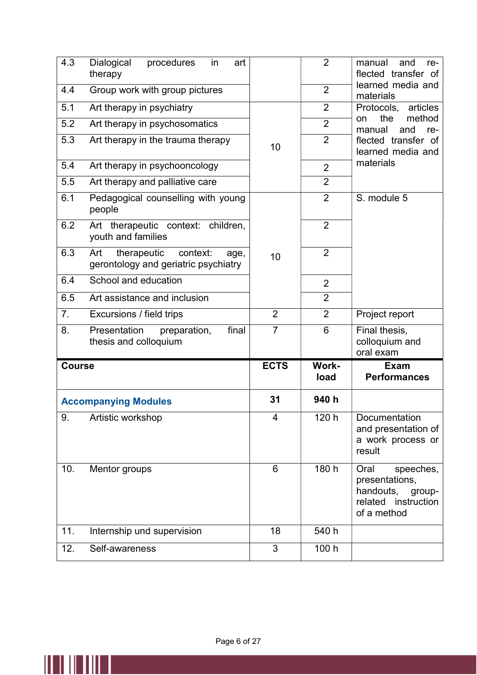| 4.3                                                                                   | <b>Dialogical</b><br>procedures<br>art<br>in<br>therapy  |                | $\overline{2}$       | manual<br>and<br>re-<br>flected transfer of                                                   |
|---------------------------------------------------------------------------------------|----------------------------------------------------------|----------------|----------------------|-----------------------------------------------------------------------------------------------|
| Group work with group pictures<br>4.4                                                 |                                                          |                | $\overline{2}$       | learned media and<br>materials                                                                |
| 5.1<br>Art therapy in psychiatry                                                      |                                                          |                | $\overline{2}$       | Protocols,<br>articles                                                                        |
| 5.2                                                                                   | Art therapy in psychosomatics                            |                | $\overline{2}$       | method<br>the<br>on<br>manual<br>and<br>re-                                                   |
| 5.3                                                                                   | Art therapy in the trauma therapy                        | 10             | $\overline{2}$       | flected transfer of<br>learned media and                                                      |
| 5.4                                                                                   | Art therapy in psychooncology                            |                | $\overline{2}$       | materials                                                                                     |
| 5.5                                                                                   | Art therapy and palliative care                          |                | $\overline{2}$       |                                                                                               |
| 6.1                                                                                   | Pedagogical counselling with young<br>people             |                | $\overline{2}$       | S. module 5                                                                                   |
| 6.2                                                                                   | Art therapeutic context: children,<br>youth and families |                | $\overline{2}$       |                                                                                               |
| 6.3<br>therapeutic<br>context:<br>Art<br>age,<br>gerontology and geriatric psychiatry |                                                          | 10             | $\overline{2}$       |                                                                                               |
| 6.4                                                                                   | School and education                                     |                | $\overline{2}$       |                                                                                               |
| 6.5                                                                                   | Art assistance and inclusion                             |                | $\overline{2}$       |                                                                                               |
| 7.                                                                                    | Excursions / field trips                                 | $\overline{2}$ | $\overline{2}$       | Project report                                                                                |
| Presentation<br>final<br>8.<br>preparation,<br>thesis and colloquium                  |                                                          | $\overline{7}$ | 6                    | Final thesis,<br>colloquium and<br>oral exam                                                  |
| <b>Course</b>                                                                         |                                                          |                |                      |                                                                                               |
|                                                                                       |                                                          | <b>ECTS</b>    | <b>Work-</b><br>load | <b>Exam</b><br><b>Performances</b>                                                            |
|                                                                                       | <b>Accompanying Modules</b>                              | 31             | 940 h                |                                                                                               |
| 9.                                                                                    | Artistic workshop                                        | 4              | 120 h                | Documentation<br>and presentation of<br>a work process or<br>result                           |
| 10.                                                                                   | Mentor groups                                            | 6              | 180 h                | Oral<br>speeches,<br>presentations,<br>handouts, group-<br>related instruction<br>of a method |
| 11.                                                                                   | Internship und supervision                               | 18             | 540 h                |                                                                                               |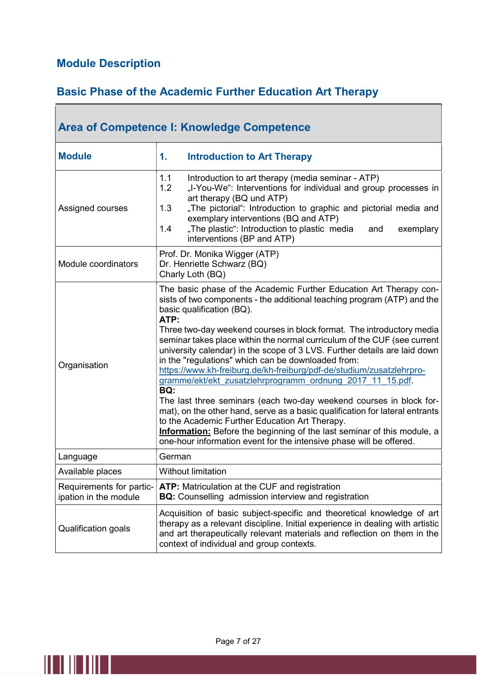### Module Description

 $\overline{\phantom{a}}$ 

## Basic Phase of the Academic Further Education Art Therapy

┑

| <b>Area of Competence I: Knowledge Competence</b> |                                                                                                                                                                                                                                                                                                                                                                                                                                                                                                                                                                                                                                                                                                                                                                                                                                                                                                                                                                                          |  |
|---------------------------------------------------|------------------------------------------------------------------------------------------------------------------------------------------------------------------------------------------------------------------------------------------------------------------------------------------------------------------------------------------------------------------------------------------------------------------------------------------------------------------------------------------------------------------------------------------------------------------------------------------------------------------------------------------------------------------------------------------------------------------------------------------------------------------------------------------------------------------------------------------------------------------------------------------------------------------------------------------------------------------------------------------|--|
| <b>Module</b>                                     | <b>Introduction to Art Therapy</b><br>1.                                                                                                                                                                                                                                                                                                                                                                                                                                                                                                                                                                                                                                                                                                                                                                                                                                                                                                                                                 |  |
| Assigned courses                                  | 1.1<br>Introduction to art therapy (media seminar - ATP)<br>1.2<br>"I-You-We": Interventions for individual and group processes in<br>art therapy (BQ und ATP)<br>"The pictorial": Introduction to graphic and pictorial media and<br>1.3<br>exemplary interventions (BQ and ATP)<br>"The plastic": Introduction to plastic media<br>1.4<br>and<br>exemplary<br>interventions (BP and ATP)                                                                                                                                                                                                                                                                                                                                                                                                                                                                                                                                                                                               |  |
| Module coordinators                               | Prof. Dr. Monika Wigger (ATP)<br>Dr. Henriette Schwarz (BQ)<br>Charly Loth (BQ)                                                                                                                                                                                                                                                                                                                                                                                                                                                                                                                                                                                                                                                                                                                                                                                                                                                                                                          |  |
| Organisation                                      | The basic phase of the Academic Further Education Art Therapy con-<br>sists of two components - the additional teaching program (ATP) and the<br>basic qualification (BQ).<br>ATP:<br>Three two-day weekend courses in block format. The introductory media<br>seminar takes place within the normal curriculum of the CUF (see current<br>university calendar) in the scope of 3 LVS. Further details are laid down<br>in the "regulations" which can be downloaded from:<br>https://www.kh-freiburg.de/kh-freiburg/pdf-de/studium/zusatzlehrpro-<br>gramme/ekt/ekt_zusatzlehrprogramm_ordnung_2017_11_15.pdf.<br>BQ:<br>The last three seminars (each two-day weekend courses in block for-<br>mat), on the other hand, serve as a basic qualification for lateral entrants<br>to the Academic Further Education Art Therapy.<br><b>Information:</b> Before the beginning of the last seminar of this module, a<br>one-hour information event for the intensive phase will be offered. |  |
| Language                                          | German                                                                                                                                                                                                                                                                                                                                                                                                                                                                                                                                                                                                                                                                                                                                                                                                                                                                                                                                                                                   |  |
| Available places                                  | <b>Without limitation</b>                                                                                                                                                                                                                                                                                                                                                                                                                                                                                                                                                                                                                                                                                                                                                                                                                                                                                                                                                                |  |
| Requirements for partic-<br>ipation in the module | <b>ATP:</b> Matriculation at the CUF and registration<br><b>BQ:</b> Counselling admission interview and registration                                                                                                                                                                                                                                                                                                                                                                                                                                                                                                                                                                                                                                                                                                                                                                                                                                                                     |  |
| Qualification goals                               | Acquisition of basic subject-specific and theoretical knowledge of art<br>therapy as a relevant discipline. Initial experience in dealing with artistic<br>and art therapeutically relevant materials and reflection on them in the<br>context of individual and group contexts.                                                                                                                                                                                                                                                                                                                                                                                                                                                                                                                                                                                                                                                                                                         |  |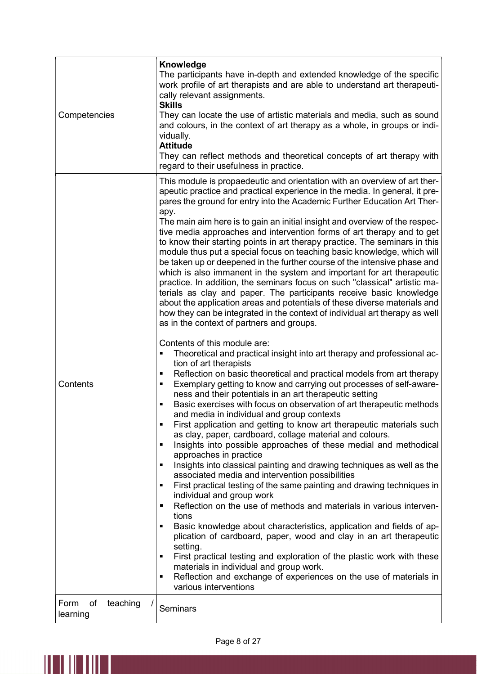| Competencies                       | Knowledge<br>The participants have in-depth and extended knowledge of the specific<br>work profile of art therapists and are able to understand art therapeuti-<br>cally relevant assignments.<br><b>Skills</b><br>They can locate the use of artistic materials and media, such as sound<br>and colours, in the context of art therapy as a whole, in groups or indi-<br>vidually.<br><b>Attitude</b><br>They can reflect methods and theoretical concepts of art therapy with<br>regard to their usefulness in practice.                                                                                                                                                                                                                                                                                                                                                                                                                                                                                                                                                                                                                                                                                                                                                                                                                                                                                                                                                                                                                                                                                                                                                                                                                                                                                                                                                                                                                                                                                                                                                                                                                                                                                                                                                                                                                                                                                                                                                                                                                                               |
|------------------------------------|--------------------------------------------------------------------------------------------------------------------------------------------------------------------------------------------------------------------------------------------------------------------------------------------------------------------------------------------------------------------------------------------------------------------------------------------------------------------------------------------------------------------------------------------------------------------------------------------------------------------------------------------------------------------------------------------------------------------------------------------------------------------------------------------------------------------------------------------------------------------------------------------------------------------------------------------------------------------------------------------------------------------------------------------------------------------------------------------------------------------------------------------------------------------------------------------------------------------------------------------------------------------------------------------------------------------------------------------------------------------------------------------------------------------------------------------------------------------------------------------------------------------------------------------------------------------------------------------------------------------------------------------------------------------------------------------------------------------------------------------------------------------------------------------------------------------------------------------------------------------------------------------------------------------------------------------------------------------------------------------------------------------------------------------------------------------------------------------------------------------------------------------------------------------------------------------------------------------------------------------------------------------------------------------------------------------------------------------------------------------------------------------------------------------------------------------------------------------------------------------------------------------------------------------------------------------------|
| Contents                           | This module is propaedeutic and orientation with an overview of art ther-<br>apeutic practice and practical experience in the media. In general, it pre-<br>pares the ground for entry into the Academic Further Education Art Ther-<br>apy.<br>The main aim here is to gain an initial insight and overview of the respec-<br>tive media approaches and intervention forms of art therapy and to get<br>to know their starting points in art therapy practice. The seminars in this<br>module thus put a special focus on teaching basic knowledge, which will<br>be taken up or deepened in the further course of the intensive phase and<br>which is also immanent in the system and important for art therapeutic<br>practice. In addition, the seminars focus on such "classical" artistic ma-<br>terials as clay and paper. The participants receive basic knowledge<br>about the application areas and potentials of these diverse materials and<br>how they can be integrated in the context of individual art therapy as well<br>as in the context of partners and groups.<br>Contents of this module are:<br>Theoretical and practical insight into art therapy and professional ac-<br>tion of art therapists<br>Reflection on basic theoretical and practical models from art therapy<br>٠<br>Exemplary getting to know and carrying out processes of self-aware-<br>٠<br>ness and their potentials in an art therapeutic setting<br>Basic exercises with focus on observation of art therapeutic methods<br>٠<br>and media in individual and group contexts<br>First application and getting to know art therapeutic materials such<br>as clay, paper, cardboard, collage material and colours.<br>Insights into possible approaches of these medial and methodical<br>٠<br>approaches in practice<br>Insights into classical painting and drawing techniques as well as the<br>$\blacksquare$<br>associated media and intervention possibilities<br>First practical testing of the same painting and drawing techniques in<br>$\blacksquare$<br>individual and group work<br>Reflection on the use of methods and materials in various interven-<br>п<br>tions<br>Basic knowledge about characteristics, application and fields of ap-<br>٠<br>plication of cardboard, paper, wood and clay in an art therapeutic<br>setting.<br>First practical testing and exploration of the plastic work with these<br>٠<br>materials in individual and group work.<br>Reflection and exchange of experiences on the use of materials in<br>٠<br>various interventions |
| of<br>Form<br>teaching<br>learning | <b>Seminars</b>                                                                                                                                                                                                                                                                                                                                                                                                                                                                                                                                                                                                                                                                                                                                                                                                                                                                                                                                                                                                                                                                                                                                                                                                                                                                                                                                                                                                                                                                                                                                                                                                                                                                                                                                                                                                                                                                                                                                                                                                                                                                                                                                                                                                                                                                                                                                                                                                                                                                                                                                                          |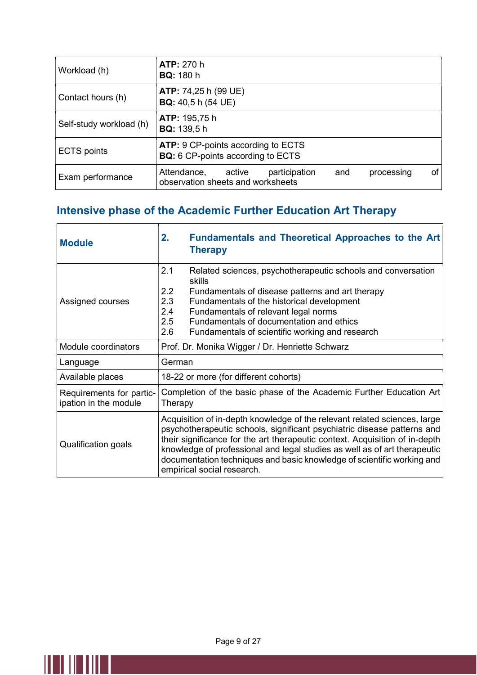| Workload (h)            | <b>ATP: 270 h</b><br><b>BQ:</b> 180 h                                          |     |            |    |
|-------------------------|--------------------------------------------------------------------------------|-----|------------|----|
| Contact hours (h)       | <b>ATP:</b> 74,25 h (99 UE)<br><b>BQ:</b> 40,5 h (54 UE)                       |     |            |    |
| Self-study workload (h) | <b>ATP: 195,75 h</b><br><b>BQ:</b> 139,5 h                                     |     |            |    |
| <b>ECTS</b> points      | ATP: 9 CP-points according to ECTS<br><b>BQ:</b> 6 CP-points according to ECTS |     |            |    |
| Exam performance        | participation<br>Attendance,<br>active<br>observation sheets and worksheets    | and | processing | οf |

## Intensive phase of the Academic Further Education Art Therapy

| <b>Module</b>                                     | 2.<br><b>Fundamentals and Theoretical Approaches to the Art</b><br><b>Therapy</b>                                                                                                                                                                                                                                                                                                                                        |  |
|---------------------------------------------------|--------------------------------------------------------------------------------------------------------------------------------------------------------------------------------------------------------------------------------------------------------------------------------------------------------------------------------------------------------------------------------------------------------------------------|--|
| Assigned courses                                  | 2.1<br>Related sciences, psychotherapeutic schools and conversation<br>skills<br>2.2<br>Fundamentals of disease patterns and art therapy<br>2.3<br>Fundamentals of the historical development<br>2.4<br>Fundamentals of relevant legal norms<br>2.5<br>Fundamentals of documentation and ethics<br>2.6<br>Fundamentals of scientific working and research                                                                |  |
| Module coordinators                               | Prof. Dr. Monika Wigger / Dr. Henriette Schwarz                                                                                                                                                                                                                                                                                                                                                                          |  |
| Language                                          | German                                                                                                                                                                                                                                                                                                                                                                                                                   |  |
| Available places                                  | 18-22 or more (for different cohorts)                                                                                                                                                                                                                                                                                                                                                                                    |  |
| Requirements for partic-<br>ipation in the module | Completion of the basic phase of the Academic Further Education Art<br>Therapy                                                                                                                                                                                                                                                                                                                                           |  |
| <b>Qualification goals</b>                        | Acquisition of in-depth knowledge of the relevant related sciences, large<br>psychotherapeutic schools, significant psychiatric disease patterns and<br>their significance for the art therapeutic context. Acquisition of in-depth<br>knowledge of professional and legal studies as well as of art therapeutic<br>documentation techniques and basic knowledge of scientific working and<br>empirical social research. |  |

 $\parallel\parallel\parallel\parallel\parallel\parallel\parallel\parallel\parallel$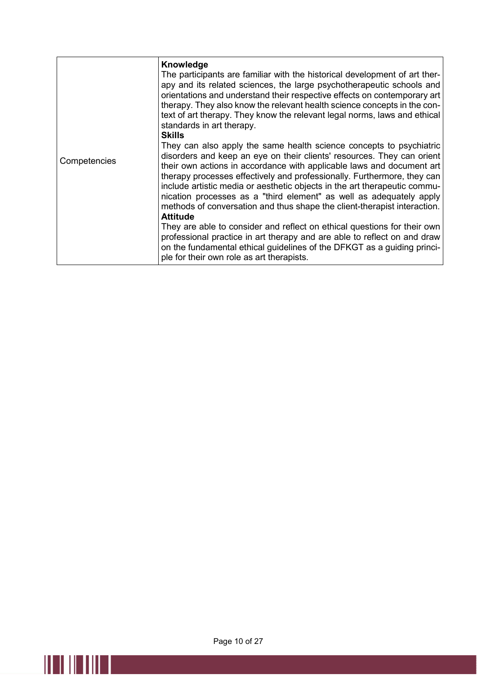|              | Knowledge<br>The participants are familiar with the historical development of art ther-<br>apy and its related sciences, the large psychotherapeutic schools and<br>orientations and understand their respective effects on contemporary art<br>therapy. They also know the relevant health science concepts in the con-<br>text of art therapy. They know the relevant legal norms, laws and ethical<br>standards in art therapy.<br><b>Skills</b>                                                                                                                                                                                                                                                          |
|--------------|--------------------------------------------------------------------------------------------------------------------------------------------------------------------------------------------------------------------------------------------------------------------------------------------------------------------------------------------------------------------------------------------------------------------------------------------------------------------------------------------------------------------------------------------------------------------------------------------------------------------------------------------------------------------------------------------------------------|
| Competencies | They can also apply the same health science concepts to psychiatric<br>disorders and keep an eye on their clients' resources. They can orient<br>their own actions in accordance with applicable laws and document art<br>therapy processes effectively and professionally. Furthermore, they can<br>include artistic media or aesthetic objects in the art therapeutic commu-<br>nication processes as a "third element" as well as adequately apply<br>methods of conversation and thus shape the client-therapist interaction.<br><b>Attitude</b><br>They are able to consider and reflect on ethical questions for their own<br>professional practice in art therapy and are able to reflect on and draw |
|              | on the fundamental ethical guidelines of the DFKGT as a guiding princi-<br>ple for their own role as art therapists.                                                                                                                                                                                                                                                                                                                                                                                                                                                                                                                                                                                         |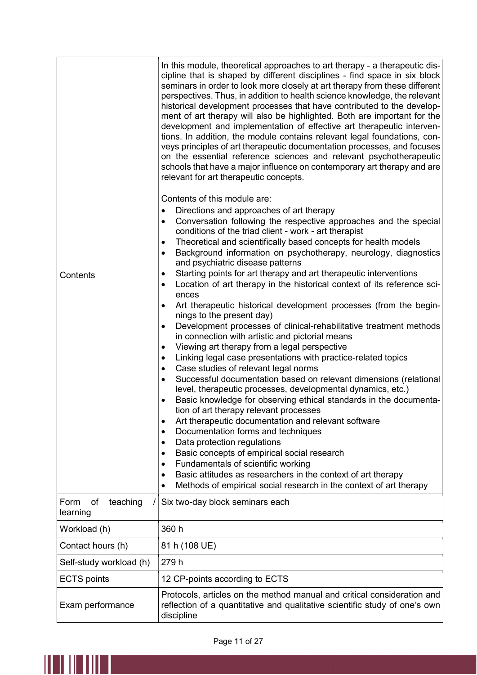| Contents                           | In this module, theoretical approaches to art therapy - a therapeutic dis-<br>cipline that is shaped by different disciplines - find space in six block<br>seminars in order to look more closely at art therapy from these different<br>perspectives. Thus, in addition to health science knowledge, the relevant<br>historical development processes that have contributed to the develop-<br>ment of art therapy will also be highlighted. Both are important for the<br>development and implementation of effective art therapeutic interven-<br>tions. In addition, the module contains relevant legal foundations, con-<br>veys principles of art therapeutic documentation processes, and focuses<br>on the essential reference sciences and relevant psychotherapeutic<br>schools that have a major influence on contemporary art therapy and are<br>relevant for art therapeutic concepts.<br>Contents of this module are:<br>Directions and approaches of art therapy<br>Conversation following the respective approaches and the special<br>٠<br>conditions of the triad client - work - art therapist<br>Theoretical and scientifically based concepts for health models<br>٠<br>Background information on psychotherapy, neurology, diagnostics<br>$\bullet$<br>and psychiatric disease patterns<br>Starting points for art therapy and art therapeutic interventions<br>٠<br>Location of art therapy in the historical context of its reference sci-<br>٠<br>ences<br>Art therapeutic historical development processes (from the begin-<br>$\bullet$<br>nings to the present day)<br>Development processes of clinical-rehabilitative treatment methods<br>٠<br>in connection with artistic and pictorial means<br>Viewing art therapy from a legal perspective<br>٠<br>Linking legal case presentations with practice-related topics<br>٠<br>Case studies of relevant legal norms<br>$\bullet$<br>Successful documentation based on relevant dimensions (relational<br>$\bullet$<br>level, therapeutic processes, developmental dynamics, etc.)<br>Basic knowledge for observing ethical standards in the documenta-<br>$\bullet$<br>tion of art therapy relevant processes<br>Art therapeutic documentation and relevant software<br>Documentation forms and techniques |
|------------------------------------|-----------------------------------------------------------------------------------------------------------------------------------------------------------------------------------------------------------------------------------------------------------------------------------------------------------------------------------------------------------------------------------------------------------------------------------------------------------------------------------------------------------------------------------------------------------------------------------------------------------------------------------------------------------------------------------------------------------------------------------------------------------------------------------------------------------------------------------------------------------------------------------------------------------------------------------------------------------------------------------------------------------------------------------------------------------------------------------------------------------------------------------------------------------------------------------------------------------------------------------------------------------------------------------------------------------------------------------------------------------------------------------------------------------------------------------------------------------------------------------------------------------------------------------------------------------------------------------------------------------------------------------------------------------------------------------------------------------------------------------------------------------------------------------------------------------------------------------------------------------------------------------------------------------------------------------------------------------------------------------------------------------------------------------------------------------------------------------------------------------------------------------------------------------------------------------------------------------------------------------------------------------------------------------------|
|                                    | Data protection regulations<br>Basic concepts of empirical social research<br>$\bullet$                                                                                                                                                                                                                                                                                                                                                                                                                                                                                                                                                                                                                                                                                                                                                                                                                                                                                                                                                                                                                                                                                                                                                                                                                                                                                                                                                                                                                                                                                                                                                                                                                                                                                                                                                                                                                                                                                                                                                                                                                                                                                                                                                                                                 |
|                                    | Fundamentals of scientific working<br>$\bullet$<br>Basic attitudes as researchers in the context of art therapy<br>$\bullet$                                                                                                                                                                                                                                                                                                                                                                                                                                                                                                                                                                                                                                                                                                                                                                                                                                                                                                                                                                                                                                                                                                                                                                                                                                                                                                                                                                                                                                                                                                                                                                                                                                                                                                                                                                                                                                                                                                                                                                                                                                                                                                                                                            |
|                                    | Methods of empirical social research in the context of art therapy<br>$\bullet$                                                                                                                                                                                                                                                                                                                                                                                                                                                                                                                                                                                                                                                                                                                                                                                                                                                                                                                                                                                                                                                                                                                                                                                                                                                                                                                                                                                                                                                                                                                                                                                                                                                                                                                                                                                                                                                                                                                                                                                                                                                                                                                                                                                                         |
| of<br>teaching<br>Form<br>learning | Six two-day block seminars each                                                                                                                                                                                                                                                                                                                                                                                                                                                                                                                                                                                                                                                                                                                                                                                                                                                                                                                                                                                                                                                                                                                                                                                                                                                                                                                                                                                                                                                                                                                                                                                                                                                                                                                                                                                                                                                                                                                                                                                                                                                                                                                                                                                                                                                         |
| Workload (h)                       | 360 h                                                                                                                                                                                                                                                                                                                                                                                                                                                                                                                                                                                                                                                                                                                                                                                                                                                                                                                                                                                                                                                                                                                                                                                                                                                                                                                                                                                                                                                                                                                                                                                                                                                                                                                                                                                                                                                                                                                                                                                                                                                                                                                                                                                                                                                                                   |
| Contact hours (h)                  | 81 h (108 UE)                                                                                                                                                                                                                                                                                                                                                                                                                                                                                                                                                                                                                                                                                                                                                                                                                                                                                                                                                                                                                                                                                                                                                                                                                                                                                                                                                                                                                                                                                                                                                                                                                                                                                                                                                                                                                                                                                                                                                                                                                                                                                                                                                                                                                                                                           |
| Self-study workload (h)            | 279 h                                                                                                                                                                                                                                                                                                                                                                                                                                                                                                                                                                                                                                                                                                                                                                                                                                                                                                                                                                                                                                                                                                                                                                                                                                                                                                                                                                                                                                                                                                                                                                                                                                                                                                                                                                                                                                                                                                                                                                                                                                                                                                                                                                                                                                                                                   |
| <b>ECTS</b> points                 | 12 CP-points according to ECTS                                                                                                                                                                                                                                                                                                                                                                                                                                                                                                                                                                                                                                                                                                                                                                                                                                                                                                                                                                                                                                                                                                                                                                                                                                                                                                                                                                                                                                                                                                                                                                                                                                                                                                                                                                                                                                                                                                                                                                                                                                                                                                                                                                                                                                                          |
| Exam performance                   | Protocols, articles on the method manual and critical consideration and<br>reflection of a quantitative and qualitative scientific study of one's own<br>discipline                                                                                                                                                                                                                                                                                                                                                                                                                                                                                                                                                                                                                                                                                                                                                                                                                                                                                                                                                                                                                                                                                                                                                                                                                                                                                                                                                                                                                                                                                                                                                                                                                                                                                                                                                                                                                                                                                                                                                                                                                                                                                                                     |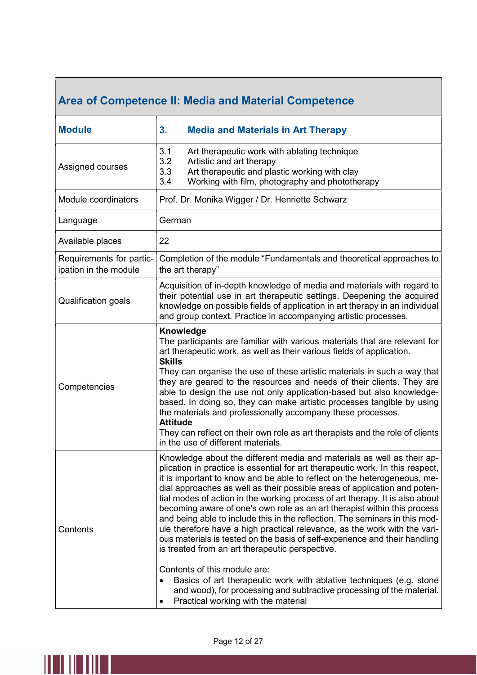## Area of Competence II: Media and Material Competence

| <b>Module</b>                                     | 3.<br><b>Media and Materials in Art Therapy</b>                                                                                                                                                                                                                                                                                                                                                                                                                                                                                                                                                                                                                                                                                                                                                                                                                                                                                                                                                       |
|---------------------------------------------------|-------------------------------------------------------------------------------------------------------------------------------------------------------------------------------------------------------------------------------------------------------------------------------------------------------------------------------------------------------------------------------------------------------------------------------------------------------------------------------------------------------------------------------------------------------------------------------------------------------------------------------------------------------------------------------------------------------------------------------------------------------------------------------------------------------------------------------------------------------------------------------------------------------------------------------------------------------------------------------------------------------|
| Assigned courses                                  | 3.1<br>Art therapeutic work with ablating technique<br>3.2<br>Artistic and art therapy<br>3.3<br>Art therapeutic and plastic working with clay<br>Working with film, photography and phototherapy<br>3.4                                                                                                                                                                                                                                                                                                                                                                                                                                                                                                                                                                                                                                                                                                                                                                                              |
| Module coordinators                               | Prof. Dr. Monika Wigger / Dr. Henriette Schwarz                                                                                                                                                                                                                                                                                                                                                                                                                                                                                                                                                                                                                                                                                                                                                                                                                                                                                                                                                       |
| Language                                          | German                                                                                                                                                                                                                                                                                                                                                                                                                                                                                                                                                                                                                                                                                                                                                                                                                                                                                                                                                                                                |
| Available places                                  | 22                                                                                                                                                                                                                                                                                                                                                                                                                                                                                                                                                                                                                                                                                                                                                                                                                                                                                                                                                                                                    |
| Requirements for partic-<br>ipation in the module | Completion of the module "Fundamentals and theoretical approaches to<br>the art therapy"                                                                                                                                                                                                                                                                                                                                                                                                                                                                                                                                                                                                                                                                                                                                                                                                                                                                                                              |
| Qualification goals                               | Acquisition of in-depth knowledge of media and materials with regard to<br>their potential use in art therapeutic settings. Deepening the acquired<br>knowledge on possible fields of application in art therapy in an individual<br>and group context. Practice in accompanying artistic processes.                                                                                                                                                                                                                                                                                                                                                                                                                                                                                                                                                                                                                                                                                                  |
| Competencies                                      | Knowledge<br>The participants are familiar with various materials that are relevant for<br>art therapeutic work, as well as their various fields of application.<br><b>Skills</b><br>They can organise the use of these artistic materials in such a way that<br>they are geared to the resources and needs of their clients. They are<br>able to design the use not only application-based but also knowledge-<br>based. In doing so, they can make artistic processes tangible by using<br>the materials and professionally accompany these processes.<br><b>Attitude</b><br>They can reflect on their own role as art therapists and the role of clients<br>in the use of different materials.                                                                                                                                                                                                                                                                                                     |
| Contents                                          | Knowledge about the different media and materials as well as their ap-<br>plication in practice is essential for art therapeutic work. In this respect,<br>it is important to know and be able to reflect on the heterogeneous, me-<br>dial approaches as well as their possible areas of application and poten-<br>tial modes of action in the working process of art therapy. It is also about<br>becoming aware of one's own role as an art therapist within this process<br>and being able to include this in the reflection. The seminars in this mod-<br>ule therefore have a high practical relevance, as the work with the vari-<br>ous materials is tested on the basis of self-experience and their handling<br>is treated from an art therapeutic perspective.<br>Contents of this module are:<br>Basics of art therapeutic work with ablative techniques (e.g. stone<br>and wood), for processing and subtractive processing of the material.<br>Practical working with the material<br>٠ |

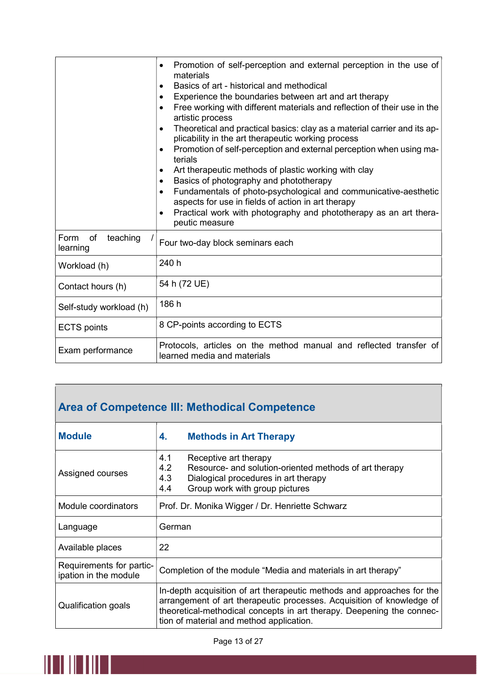|                                    | Promotion of self-perception and external perception in the use of<br>$\bullet$<br>materials<br>Basics of art - historical and methodical<br>$\bullet$<br>Experience the boundaries between art and art therapy<br>$\bullet$<br>Free working with different materials and reflection of their use in the<br>$\bullet$<br>artistic process<br>Theoretical and practical basics: clay as a material carrier and its ap-<br>$\bullet$<br>plicability in the art therapeutic working process<br>Promotion of self-perception and external perception when using ma-<br>$\bullet$<br>terials<br>Art therapeutic methods of plastic working with clay<br>$\bullet$<br>Basics of photography and phototherapy<br>$\bullet$<br>Fundamentals of photo-psychological and communicative-aesthetic<br>$\bullet$<br>aspects for use in fields of action in art therapy<br>Practical work with photography and phototherapy as an art thera-<br>$\bullet$<br>peutic measure |
|------------------------------------|---------------------------------------------------------------------------------------------------------------------------------------------------------------------------------------------------------------------------------------------------------------------------------------------------------------------------------------------------------------------------------------------------------------------------------------------------------------------------------------------------------------------------------------------------------------------------------------------------------------------------------------------------------------------------------------------------------------------------------------------------------------------------------------------------------------------------------------------------------------------------------------------------------------------------------------------------------------|
| of<br>Form<br>teaching<br>learning | Four two-day block seminars each                                                                                                                                                                                                                                                                                                                                                                                                                                                                                                                                                                                                                                                                                                                                                                                                                                                                                                                              |
| Workload (h)                       | 240 h                                                                                                                                                                                                                                                                                                                                                                                                                                                                                                                                                                                                                                                                                                                                                                                                                                                                                                                                                         |
| Contact hours (h)                  | 54 h (72 UE)                                                                                                                                                                                                                                                                                                                                                                                                                                                                                                                                                                                                                                                                                                                                                                                                                                                                                                                                                  |
| Self-study workload (h)            | 186 h                                                                                                                                                                                                                                                                                                                                                                                                                                                                                                                                                                                                                                                                                                                                                                                                                                                                                                                                                         |
| <b>ECTS</b> points                 | 8 CP-points according to ECTS                                                                                                                                                                                                                                                                                                                                                                                                                                                                                                                                                                                                                                                                                                                                                                                                                                                                                                                                 |
| Exam performance                   | Protocols, articles on the method manual and reflected transfer of<br>learned media and materials                                                                                                                                                                                                                                                                                                                                                                                                                                                                                                                                                                                                                                                                                                                                                                                                                                                             |

# Area of Competence III: Methodical Competence

| <b>Module</b>                                     | <b>Methods in Art Therapy</b><br>4.                                                                                                                                                                                                                                  |  |
|---------------------------------------------------|----------------------------------------------------------------------------------------------------------------------------------------------------------------------------------------------------------------------------------------------------------------------|--|
| Assigned courses                                  | 4.1<br>Receptive art therapy<br>4.2<br>Resource- and solution-oriented methods of art therapy<br>4.3<br>Dialogical procedures in art therapy<br>Group work with group pictures<br>4.4                                                                                |  |
| Module coordinators                               | Prof. Dr. Monika Wigger / Dr. Henriette Schwarz                                                                                                                                                                                                                      |  |
| Language                                          | German                                                                                                                                                                                                                                                               |  |
| Available places                                  | 22                                                                                                                                                                                                                                                                   |  |
| Requirements for partic-<br>ipation in the module | Completion of the module "Media and materials in art therapy"                                                                                                                                                                                                        |  |
| Qualification goals                               | In-depth acquisition of art therapeutic methods and approaches for the<br>arrangement of art therapeutic processes. Acquisition of knowledge of<br>theoretical-methodical concepts in art therapy. Deepening the connec-<br>tion of material and method application. |  |

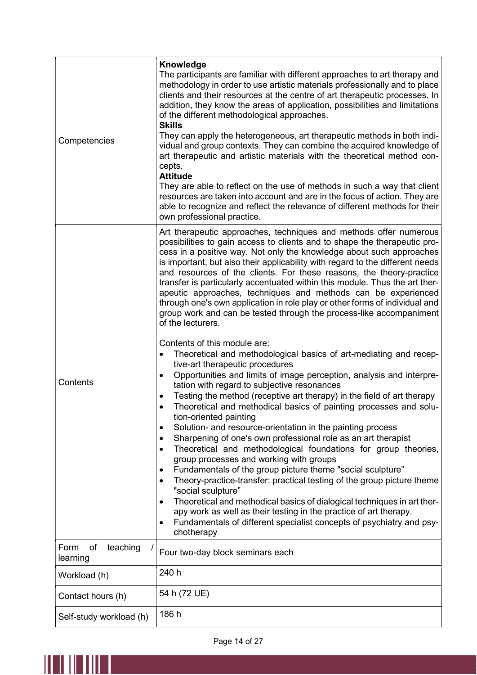| Competencies                       | Knowledge<br>The participants are familiar with different approaches to art therapy and<br>methodology in order to use artistic materials professionally and to place<br>clients and their resources at the centre of art therapeutic processes. In<br>addition, they know the areas of application, possibilities and limitations<br>of the different methodological approaches.<br><b>Skills</b><br>They can apply the heterogeneous, art therapeutic methods in both indi-<br>vidual and group contexts. They can combine the acquired knowledge of<br>art therapeutic and artistic materials with the theoretical method con-<br>cepts.<br><b>Attitude</b><br>They are able to reflect on the use of methods in such a way that client<br>resources are taken into account and are in the focus of action. They are<br>able to recognize and reflect the relevance of different methods for their<br>own professional practice.                                                                                                                                                                                                                                                                                                                                                                                                                                                                                                                                                                                                                                                                                                                                                                                                                               |
|------------------------------------|-------------------------------------------------------------------------------------------------------------------------------------------------------------------------------------------------------------------------------------------------------------------------------------------------------------------------------------------------------------------------------------------------------------------------------------------------------------------------------------------------------------------------------------------------------------------------------------------------------------------------------------------------------------------------------------------------------------------------------------------------------------------------------------------------------------------------------------------------------------------------------------------------------------------------------------------------------------------------------------------------------------------------------------------------------------------------------------------------------------------------------------------------------------------------------------------------------------------------------------------------------------------------------------------------------------------------------------------------------------------------------------------------------------------------------------------------------------------------------------------------------------------------------------------------------------------------------------------------------------------------------------------------------------------------------------------------------------------------------------------------------------------|
| Contents                           | Art therapeutic approaches, techniques and methods offer numerous<br>possibilities to gain access to clients and to shape the therapeutic pro-<br>cess in a positive way. Not only the knowledge about such approaches<br>is important, but also their applicability with regard to the different needs<br>and resources of the clients. For these reasons, the theory-practice<br>transfer is particularly accentuated within this module. Thus the art ther-<br>apeutic approaches, techniques and methods can be experienced<br>through one's own application in role play or other forms of individual and<br>group work and can be tested through the process-like accompaniment<br>of the lecturers.<br>Contents of this module are:<br>Theoretical and methodological basics of art-mediating and recep-<br>$\bullet$<br>tive-art therapeutic procedures<br>Opportunities and limits of image perception, analysis and interpre-<br>$\bullet$<br>tation with regard to subjective resonances<br>Testing the method (receptive art therapy) in the field of art therapy<br>٠<br>Theoretical and methodical basics of painting processes and solu-<br>$\bullet$<br>tion-oriented painting<br>Solution- and resource-orientation in the painting process<br>$\bullet$<br>Sharpening of one's own professional role as an art therapist<br>$\bullet$<br>Theoretical and methodological foundations for group theories,<br>$\bullet$<br>group processes and working with groups<br>Fundamentals of the group picture theme "social sculpture"<br>$\bullet$<br>Theory-practice-transfer: practical testing of the group picture theme<br>$\bullet$<br>"social sculpture"<br>Theoretical and methodical basics of dialogical techniques in art ther-<br>$\bullet$ |
|                                    | apy work as well as their testing in the practice of art therapy.<br>Fundamentals of different specialist concepts of psychiatry and psy-<br>$\bullet$<br>chotherapy                                                                                                                                                                                                                                                                                                                                                                                                                                                                                                                                                                                                                                                                                                                                                                                                                                                                                                                                                                                                                                                                                                                                                                                                                                                                                                                                                                                                                                                                                                                                                                                              |
| of<br>teaching<br>Form<br>learning | Four two-day block seminars each                                                                                                                                                                                                                                                                                                                                                                                                                                                                                                                                                                                                                                                                                                                                                                                                                                                                                                                                                                                                                                                                                                                                                                                                                                                                                                                                                                                                                                                                                                                                                                                                                                                                                                                                  |
| Workload (h)                       | 240 h                                                                                                                                                                                                                                                                                                                                                                                                                                                                                                                                                                                                                                                                                                                                                                                                                                                                                                                                                                                                                                                                                                                                                                                                                                                                                                                                                                                                                                                                                                                                                                                                                                                                                                                                                             |
| Contact hours (h)                  | 54 h (72 UE)                                                                                                                                                                                                                                                                                                                                                                                                                                                                                                                                                                                                                                                                                                                                                                                                                                                                                                                                                                                                                                                                                                                                                                                                                                                                                                                                                                                                                                                                                                                                                                                                                                                                                                                                                      |
| Self-study workload (h)            | 186 h                                                                                                                                                                                                                                                                                                                                                                                                                                                                                                                                                                                                                                                                                                                                                                                                                                                                                                                                                                                                                                                                                                                                                                                                                                                                                                                                                                                                                                                                                                                                                                                                                                                                                                                                                             |

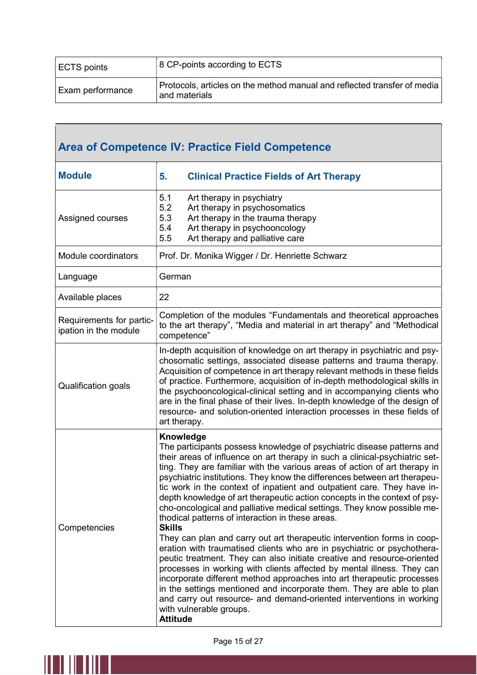| ECTS points      | 8 CP-points according to ECTS                                                             |
|------------------|-------------------------------------------------------------------------------------------|
| Exam performance | Protocols, articles on the method manual and reflected transfer of media<br>and materials |

| Area of Competence IV: Practice Field Competence  |                                                                                                                                                                                                                                                                                                                                                                                                                                                                                                                                                                                                                                                                                                                                                                                                                                                                                                                                                                                                                                                                                                                                                                                                                           |  |
|---------------------------------------------------|---------------------------------------------------------------------------------------------------------------------------------------------------------------------------------------------------------------------------------------------------------------------------------------------------------------------------------------------------------------------------------------------------------------------------------------------------------------------------------------------------------------------------------------------------------------------------------------------------------------------------------------------------------------------------------------------------------------------------------------------------------------------------------------------------------------------------------------------------------------------------------------------------------------------------------------------------------------------------------------------------------------------------------------------------------------------------------------------------------------------------------------------------------------------------------------------------------------------------|--|
| <b>Module</b>                                     | 5.<br><b>Clinical Practice Fields of Art Therapy</b>                                                                                                                                                                                                                                                                                                                                                                                                                                                                                                                                                                                                                                                                                                                                                                                                                                                                                                                                                                                                                                                                                                                                                                      |  |
| Assigned courses                                  | 5.1<br>Art therapy in psychiatry<br>5.2<br>Art therapy in psychosomatics<br>5.3<br>Art therapy in the trauma therapy<br>5.4<br>Art therapy in psychooncology<br>5.5<br>Art therapy and palliative care                                                                                                                                                                                                                                                                                                                                                                                                                                                                                                                                                                                                                                                                                                                                                                                                                                                                                                                                                                                                                    |  |
| Module coordinators                               | Prof. Dr. Monika Wigger / Dr. Henriette Schwarz                                                                                                                                                                                                                                                                                                                                                                                                                                                                                                                                                                                                                                                                                                                                                                                                                                                                                                                                                                                                                                                                                                                                                                           |  |
| Language                                          | German                                                                                                                                                                                                                                                                                                                                                                                                                                                                                                                                                                                                                                                                                                                                                                                                                                                                                                                                                                                                                                                                                                                                                                                                                    |  |
| Available places                                  | 22                                                                                                                                                                                                                                                                                                                                                                                                                                                                                                                                                                                                                                                                                                                                                                                                                                                                                                                                                                                                                                                                                                                                                                                                                        |  |
| Requirements for partic-<br>ipation in the module | Completion of the modules "Fundamentals and theoretical approaches<br>to the art therapy", "Media and material in art therapy" and "Methodical<br>competence"                                                                                                                                                                                                                                                                                                                                                                                                                                                                                                                                                                                                                                                                                                                                                                                                                                                                                                                                                                                                                                                             |  |
| Qualification goals                               | In-depth acquisition of knowledge on art therapy in psychiatric and psy-<br>chosomatic settings, associated disease patterns and trauma therapy.<br>Acquisition of competence in art therapy relevant methods in these fields<br>of practice. Furthermore, acquisition of in-depth methodological skills in<br>the psychooncological-clinical setting and in accompanying clients who<br>are in the final phase of their lives. In-depth knowledge of the design of<br>resource- and solution-oriented interaction processes in these fields of<br>art therapy.                                                                                                                                                                                                                                                                                                                                                                                                                                                                                                                                                                                                                                                           |  |
| Competencies                                      | Knowledge<br>The participants possess knowledge of psychiatric disease patterns and<br>their areas of influence on art therapy in such a clinical-psychiatric set-<br>ting. They are familiar with the various areas of action of art therapy in<br>psychiatric institutions. They know the differences between art therapeu-<br>tic work in the context of inpatient and outpatient care. They have in-<br>depth knowledge of art therapeutic action concepts in the context of psy-<br>cho-oncological and palliative medical settings. They know possible me-<br>thodical patterns of interaction in these areas.<br><b>Skills</b><br>They can plan and carry out art therapeutic intervention forms in coop-<br>eration with traumatised clients who are in psychiatric or psychothera-<br>peutic treatment. They can also initiate creative and resource-oriented<br>processes in working with clients affected by mental illness. They can<br>incorporate different method approaches into art therapeutic processes<br>in the settings mentioned and incorporate them. They are able to plan<br>and carry out resource- and demand-oriented interventions in working<br>with vulnerable groups.<br><b>Attitude</b> |  |

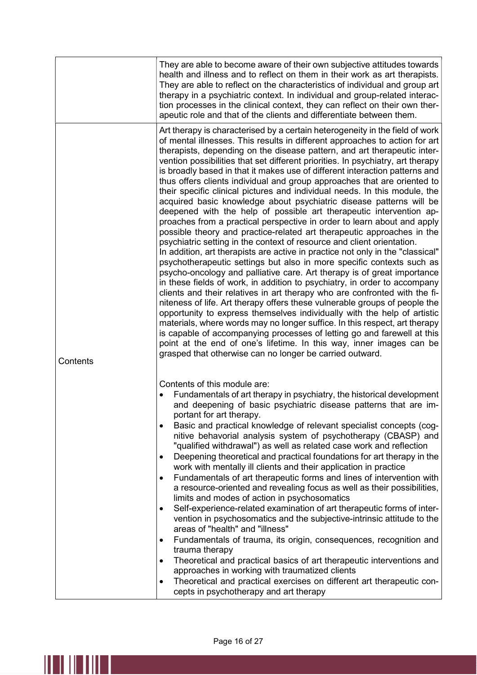|          | They are able to become aware of their own subjective attitudes towards<br>health and illness and to reflect on them in their work as art therapists.<br>They are able to reflect on the characteristics of individual and group art<br>therapy in a psychiatric context. In individual and group-related interac-<br>tion processes in the clinical context, they can reflect on their own ther-<br>apeutic role and that of the clients and differentiate between them.                                                                                                                                                                                                                                                                                                                                                                                                                                                                                                                                                                                                                                                                                                                                                                                                                                                                                                                                                                                                                                                                                                                                                                                                                                                                                                                                |
|----------|----------------------------------------------------------------------------------------------------------------------------------------------------------------------------------------------------------------------------------------------------------------------------------------------------------------------------------------------------------------------------------------------------------------------------------------------------------------------------------------------------------------------------------------------------------------------------------------------------------------------------------------------------------------------------------------------------------------------------------------------------------------------------------------------------------------------------------------------------------------------------------------------------------------------------------------------------------------------------------------------------------------------------------------------------------------------------------------------------------------------------------------------------------------------------------------------------------------------------------------------------------------------------------------------------------------------------------------------------------------------------------------------------------------------------------------------------------------------------------------------------------------------------------------------------------------------------------------------------------------------------------------------------------------------------------------------------------------------------------------------------------------------------------------------------------|
| Contents | Art therapy is characterised by a certain heterogeneity in the field of work<br>of mental illnesses. This results in different approaches to action for art<br>therapists, depending on the disease pattern, and art therapeutic inter-<br>vention possibilities that set different priorities. In psychiatry, art therapy<br>is broadly based in that it makes use of different interaction patterns and<br>thus offers clients individual and group approaches that are oriented to<br>their specific clinical pictures and individual needs. In this module, the<br>acquired basic knowledge about psychiatric disease patterns will be<br>deepened with the help of possible art therapeutic intervention ap-<br>proaches from a practical perspective in order to learn about and apply<br>possible theory and practice-related art therapeutic approaches in the<br>psychiatric setting in the context of resource and client orientation.<br>In addition, art therapists are active in practice not only in the "classical"<br>psychotherapeutic settings but also in more specific contexts such as<br>psycho-oncology and palliative care. Art therapy is of great importance<br>in these fields of work, in addition to psychiatry, in order to accompany<br>clients and their relatives in art therapy who are confronted with the fi-<br>niteness of life. Art therapy offers these vulnerable groups of people the<br>opportunity to express themselves individually with the help of artistic<br>materials, where words may no longer suffice. In this respect, art therapy<br>is capable of accompanying processes of letting go and farewell at this<br>point at the end of one's lifetime. In this way, inner images can be<br>grasped that otherwise can no longer be carried outward. |
|          | Contents of this module are:<br>Fundamentals of art therapy in psychiatry, the historical development<br>$\bullet$<br>and deepening of basic psychiatric disease patterns that are im-<br>portant for art therapy.<br>Basic and practical knowledge of relevant specialist concepts (cog-<br>٠<br>nitive behavorial analysis system of psychotherapy (CBASP) and<br>"qualified withdrawal") as well as related case work and reflection<br>Deepening theoretical and practical foundations for art therapy in the<br>$\bullet$<br>work with mentally ill clients and their application in practice<br>Fundamentals of art therapeutic forms and lines of intervention with<br>$\bullet$<br>a resource-oriented and revealing focus as well as their possibilities,<br>limits and modes of action in psychosomatics<br>Self-experience-related examination of art therapeutic forms of inter-<br>$\bullet$<br>vention in psychosomatics and the subjective-intrinsic attitude to the<br>areas of "health" and "illness"<br>Fundamentals of trauma, its origin, consequences, recognition and<br>$\bullet$<br>trauma therapy<br>Theoretical and practical basics of art therapeutic interventions and<br>٠<br>approaches in working with traumatized clients<br>Theoretical and practical exercises on different art therapeutic con-<br>$\bullet$<br>cepts in psychotherapy and art therapy                                                                                                                                                                                                                                                                                                                                                                                                               |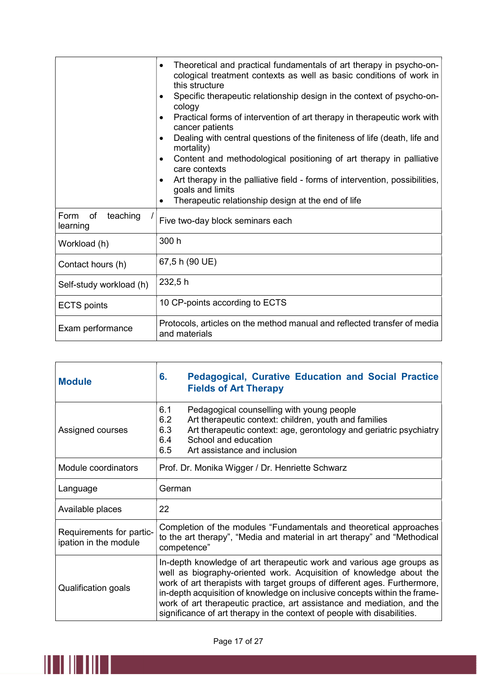|                                    | Theoretical and practical fundamentals of art therapy in psycho-on-<br>$\bullet$<br>cological treatment contexts as well as basic conditions of work in<br>this structure<br>Specific therapeutic relationship design in the context of psycho-on-<br>$\bullet$<br>cology<br>Practical forms of intervention of art therapy in therapeutic work with<br>$\bullet$<br>cancer patients<br>Dealing with central questions of the finiteness of life (death, life and<br>$\bullet$<br>mortality)<br>Content and methodological positioning of art therapy in palliative<br>$\bullet$<br>care contexts<br>Art therapy in the palliative field - forms of intervention, possibilities,<br>$\bullet$<br>goals and limits<br>Therapeutic relationship design at the end of life<br>$\bullet$ |
|------------------------------------|--------------------------------------------------------------------------------------------------------------------------------------------------------------------------------------------------------------------------------------------------------------------------------------------------------------------------------------------------------------------------------------------------------------------------------------------------------------------------------------------------------------------------------------------------------------------------------------------------------------------------------------------------------------------------------------------------------------------------------------------------------------------------------------|
| teaching<br>Form<br>of<br>learning | Five two-day block seminars each                                                                                                                                                                                                                                                                                                                                                                                                                                                                                                                                                                                                                                                                                                                                                     |
| Workload (h)                       | 300 h                                                                                                                                                                                                                                                                                                                                                                                                                                                                                                                                                                                                                                                                                                                                                                                |
| Contact hours (h)                  | 67,5 h (90 UE)                                                                                                                                                                                                                                                                                                                                                                                                                                                                                                                                                                                                                                                                                                                                                                       |
| Self-study workload (h)            | 232,5h                                                                                                                                                                                                                                                                                                                                                                                                                                                                                                                                                                                                                                                                                                                                                                               |
| <b>ECTS</b> points                 | 10 CP-points according to ECTS                                                                                                                                                                                                                                                                                                                                                                                                                                                                                                                                                                                                                                                                                                                                                       |
| Exam performance                   | Protocols, articles on the method manual and reflected transfer of media<br>and materials                                                                                                                                                                                                                                                                                                                                                                                                                                                                                                                                                                                                                                                                                            |

| <b>Module</b>                                     | <b>Pedagogical, Curative Education and Social Practice</b><br>6.<br><b>Fields of Art Therapy</b>                                                                                                                                                                                                                                                                                                                                                            |
|---------------------------------------------------|-------------------------------------------------------------------------------------------------------------------------------------------------------------------------------------------------------------------------------------------------------------------------------------------------------------------------------------------------------------------------------------------------------------------------------------------------------------|
| Assigned courses                                  | 6.1<br>Pedagogical counselling with young people<br>6.2<br>Art therapeutic context: children, youth and families<br>6.3<br>Art therapeutic context: age, gerontology and geriatric psychiatry<br>6.4<br>School and education<br>6.5<br>Art assistance and inclusion                                                                                                                                                                                         |
| Module coordinators                               | Prof. Dr. Monika Wigger / Dr. Henriette Schwarz                                                                                                                                                                                                                                                                                                                                                                                                             |
| Language                                          | German                                                                                                                                                                                                                                                                                                                                                                                                                                                      |
| Available places                                  | 22                                                                                                                                                                                                                                                                                                                                                                                                                                                          |
| Requirements for partic-<br>ipation in the module | Completion of the modules "Fundamentals and theoretical approaches<br>to the art therapy", "Media and material in art therapy" and "Methodical<br>competence"                                                                                                                                                                                                                                                                                               |
| Qualification goals                               | In-depth knowledge of art therapeutic work and various age groups as<br>well as biography-oriented work. Acquisition of knowledge about the<br>work of art therapists with target groups of different ages. Furthermore,<br>in-depth acquisition of knowledge on inclusive concepts within the frame-<br>work of art therapeutic practice, art assistance and mediation, and the<br>significance of art therapy in the context of people with disabilities. |

٦

 $\mathsf{r}$ 

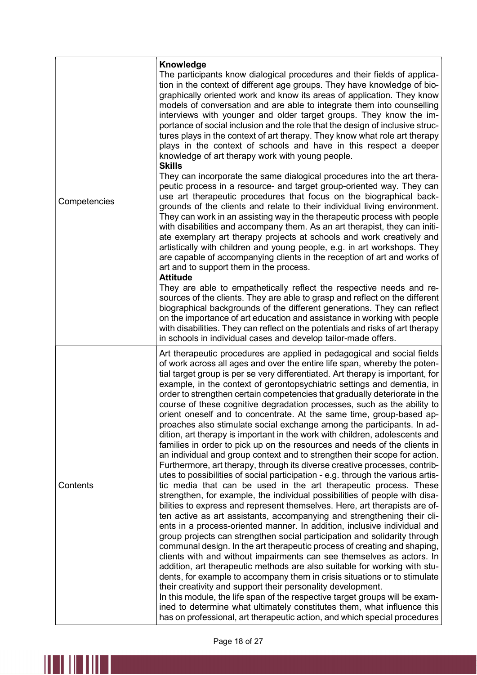| Competencies | Knowledge<br>The participants know dialogical procedures and their fields of applica-<br>tion in the context of different age groups. They have knowledge of bio-<br>graphically oriented work and know its areas of application. They know<br>models of conversation and are able to integrate them into counselling<br>interviews with younger and older target groups. They know the im-<br>portance of social inclusion and the role that the design of inclusive struc-<br>tures plays in the context of art therapy. They know what role art therapy<br>plays in the context of schools and have in this respect a deeper<br>knowledge of art therapy work with young people.                                                                                                                                                                                                                                                                                                                                                                                                                                                                                                                                                                                                                                                                                                                                                                                                                                                                                                                                                                                                                                                                                                                                                                                                                                                                                                                                                                                                                                             |
|--------------|---------------------------------------------------------------------------------------------------------------------------------------------------------------------------------------------------------------------------------------------------------------------------------------------------------------------------------------------------------------------------------------------------------------------------------------------------------------------------------------------------------------------------------------------------------------------------------------------------------------------------------------------------------------------------------------------------------------------------------------------------------------------------------------------------------------------------------------------------------------------------------------------------------------------------------------------------------------------------------------------------------------------------------------------------------------------------------------------------------------------------------------------------------------------------------------------------------------------------------------------------------------------------------------------------------------------------------------------------------------------------------------------------------------------------------------------------------------------------------------------------------------------------------------------------------------------------------------------------------------------------------------------------------------------------------------------------------------------------------------------------------------------------------------------------------------------------------------------------------------------------------------------------------------------------------------------------------------------------------------------------------------------------------------------------------------------------------------------------------------------------------|
|              | <b>Skills</b><br>They can incorporate the same dialogical procedures into the art thera-<br>peutic process in a resource- and target group-oriented way. They can<br>use art therapeutic procedures that focus on the biographical back-<br>grounds of the clients and relate to their individual living environment.<br>They can work in an assisting way in the therapeutic process with people<br>with disabilities and accompany them. As an art therapist, they can initi-<br>ate exemplary art therapy projects at schools and work creatively and<br>artistically with children and young people, e.g. in art workshops. They<br>are capable of accompanying clients in the reception of art and works of<br>art and to support them in the process.<br><b>Attitude</b>                                                                                                                                                                                                                                                                                                                                                                                                                                                                                                                                                                                                                                                                                                                                                                                                                                                                                                                                                                                                                                                                                                                                                                                                                                                                                                                                                  |
|              | They are able to empathetically reflect the respective needs and re-<br>sources of the clients. They are able to grasp and reflect on the different<br>biographical backgrounds of the different generations. They can reflect<br>on the importance of art education and assistance in working with people<br>with disabilities. They can reflect on the potentials and risks of art therapy<br>in schools in individual cases and develop tailor-made offers.                                                                                                                                                                                                                                                                                                                                                                                                                                                                                                                                                                                                                                                                                                                                                                                                                                                                                                                                                                                                                                                                                                                                                                                                                                                                                                                                                                                                                                                                                                                                                                                                                                                                  |
| Contents     | Art therapeutic procedures are applied in pedagogical and social fields<br>of work across all ages and over the entire life span, whereby the poten-<br>tial target group is per se very differentiated. Art therapy is important, for<br>example, in the context of gerontopsychiatric settings and dementia, in<br>order to strengthen certain competencies that gradually deteriorate in the<br>course of these cognitive degradation processes, such as the ability to<br>orient oneself and to concentrate. At the same time, group-based ap-<br>proaches also stimulate social exchange among the participants. In ad-<br>dition, art therapy is important in the work with children, adolescents and<br>families in order to pick up on the resources and needs of the clients in<br>an individual and group context and to strengthen their scope for action.<br>Furthermore, art therapy, through its diverse creative processes, contrib-<br>utes to possibilities of social participation - e.g. through the various artis-<br>tic media that can be used in the art therapeutic process. These<br>strengthen, for example, the individual possibilities of people with disa-<br>bilities to express and represent themselves. Here, art therapists are of-<br>ten active as art assistants, accompanying and strengthening their cli-<br>ents in a process-oriented manner. In addition, inclusive individual and<br>group projects can strengthen social participation and solidarity through<br>communal design. In the art therapeutic process of creating and shaping,<br>clients with and without impairments can see themselves as actors. In<br>addition, art therapeutic methods are also suitable for working with stu-<br>dents, for example to accompany them in crisis situations or to stimulate<br>their creativity and support their personality development.<br>In this module, the life span of the respective target groups will be exam-<br>ined to determine what ultimately constitutes them, what influence this<br>has on professional, art therapeutic action, and which special procedures |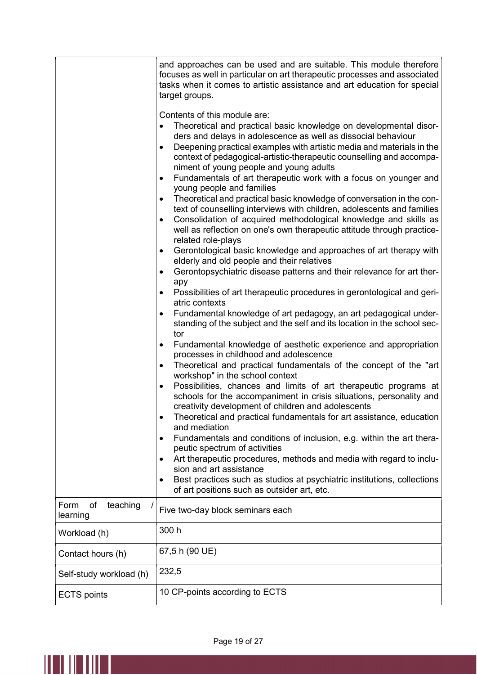|                                    | and approaches can be used and are suitable. This module therefore<br>focuses as well in particular on art therapeutic processes and associated<br>tasks when it comes to artistic assistance and art education for special<br>target groups.<br>Contents of this module are:<br>Theoretical and practical basic knowledge on developmental disor-<br>$\bullet$<br>ders and delays in adolescence as well as dissocial behaviour<br>Deepening practical examples with artistic media and materials in the<br>context of pedagogical-artistic-therapeutic counselling and accompa-<br>niment of young people and young adults<br>Fundamentals of art therapeutic work with a focus on younger and<br>$\bullet$ |
|------------------------------------|---------------------------------------------------------------------------------------------------------------------------------------------------------------------------------------------------------------------------------------------------------------------------------------------------------------------------------------------------------------------------------------------------------------------------------------------------------------------------------------------------------------------------------------------------------------------------------------------------------------------------------------------------------------------------------------------------------------|
|                                    | young people and families<br>Theoretical and practical basic knowledge of conversation in the con-<br>$\bullet$<br>text of counselling interviews with children, adolescents and families<br>Consolidation of acquired methodological knowledge and skills as<br>$\bullet$<br>well as reflection on one's own therapeutic attitude through practice-<br>related role-plays<br>Gerontological basic knowledge and approaches of art therapy with<br>$\bullet$                                                                                                                                                                                                                                                  |
|                                    | elderly and old people and their relatives<br>Gerontopsychiatric disease patterns and their relevance for art ther-<br>apy                                                                                                                                                                                                                                                                                                                                                                                                                                                                                                                                                                                    |
|                                    | Possibilities of art therapeutic procedures in gerontological and geri-<br>atric contexts                                                                                                                                                                                                                                                                                                                                                                                                                                                                                                                                                                                                                     |
|                                    | Fundamental knowledge of art pedagogy, an art pedagogical under-<br>$\bullet$<br>standing of the subject and the self and its location in the school sec-<br>tor                                                                                                                                                                                                                                                                                                                                                                                                                                                                                                                                              |
|                                    | Fundamental knowledge of aesthetic experience and appropriation<br>$\bullet$<br>processes in childhood and adolescence<br>Theoretical and practical fundamentals of the concept of the "art<br>$\bullet$<br>workshop" in the school context<br>Possibilities, chances and limits of art therapeutic programs at<br>$\bullet$<br>schools for the accompaniment in crisis situations, personality and                                                                                                                                                                                                                                                                                                           |
|                                    | creativity development of children and adolescents<br>Theoretical and practical fundamentals for art assistance, education<br>and mediation                                                                                                                                                                                                                                                                                                                                                                                                                                                                                                                                                                   |
|                                    | Fundamentals and conditions of inclusion, e.g. within the art thera-<br>$\bullet$<br>peutic spectrum of activities                                                                                                                                                                                                                                                                                                                                                                                                                                                                                                                                                                                            |
|                                    | Art therapeutic procedures, methods and media with regard to inclu-<br>$\bullet$<br>sion and art assistance                                                                                                                                                                                                                                                                                                                                                                                                                                                                                                                                                                                                   |
|                                    | Best practices such as studios at psychiatric institutions, collections<br>of art positions such as outsider art, etc.                                                                                                                                                                                                                                                                                                                                                                                                                                                                                                                                                                                        |
| Form<br>of<br>teaching<br>learning | Five two-day block seminars each                                                                                                                                                                                                                                                                                                                                                                                                                                                                                                                                                                                                                                                                              |
| Workload (h)                       | 300 h                                                                                                                                                                                                                                                                                                                                                                                                                                                                                                                                                                                                                                                                                                         |
| Contact hours (h)                  | 67,5 h (90 UE)                                                                                                                                                                                                                                                                                                                                                                                                                                                                                                                                                                                                                                                                                                |
| Self-study workload (h)            | 232,5                                                                                                                                                                                                                                                                                                                                                                                                                                                                                                                                                                                                                                                                                                         |
| <b>ECTS</b> points                 | 10 CP-points according to ECTS                                                                                                                                                                                                                                                                                                                                                                                                                                                                                                                                                                                                                                                                                |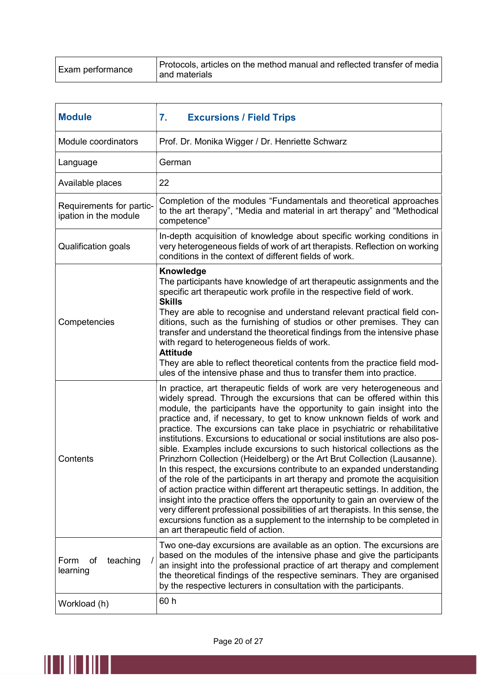| Exam performance | Protocols, articles on the method manual and reflected transfer of media<br>and materials |
|------------------|-------------------------------------------------------------------------------------------|
|                  |                                                                                           |

| <b>Module</b>                                     | 7.<br><b>Excursions / Field Trips</b>                                                                                                                                                                                                                                                                                                                                                                                                                                                                                                                                                                                                                                                                                                                                                                                                                                                                                                                                                                                                                                                                                                                  |
|---------------------------------------------------|--------------------------------------------------------------------------------------------------------------------------------------------------------------------------------------------------------------------------------------------------------------------------------------------------------------------------------------------------------------------------------------------------------------------------------------------------------------------------------------------------------------------------------------------------------------------------------------------------------------------------------------------------------------------------------------------------------------------------------------------------------------------------------------------------------------------------------------------------------------------------------------------------------------------------------------------------------------------------------------------------------------------------------------------------------------------------------------------------------------------------------------------------------|
| Module coordinators                               | Prof. Dr. Monika Wigger / Dr. Henriette Schwarz                                                                                                                                                                                                                                                                                                                                                                                                                                                                                                                                                                                                                                                                                                                                                                                                                                                                                                                                                                                                                                                                                                        |
| Language                                          | German                                                                                                                                                                                                                                                                                                                                                                                                                                                                                                                                                                                                                                                                                                                                                                                                                                                                                                                                                                                                                                                                                                                                                 |
| Available places                                  | 22                                                                                                                                                                                                                                                                                                                                                                                                                                                                                                                                                                                                                                                                                                                                                                                                                                                                                                                                                                                                                                                                                                                                                     |
| Requirements for partic-<br>ipation in the module | Completion of the modules "Fundamentals and theoretical approaches<br>to the art therapy", "Media and material in art therapy" and "Methodical<br>competence"                                                                                                                                                                                                                                                                                                                                                                                                                                                                                                                                                                                                                                                                                                                                                                                                                                                                                                                                                                                          |
| <b>Qualification goals</b>                        | In-depth acquisition of knowledge about specific working conditions in<br>very heterogeneous fields of work of art therapists. Reflection on working<br>conditions in the context of different fields of work.                                                                                                                                                                                                                                                                                                                                                                                                                                                                                                                                                                                                                                                                                                                                                                                                                                                                                                                                         |
| Competencies                                      | <b>Knowledge</b><br>The participants have knowledge of art therapeutic assignments and the<br>specific art therapeutic work profile in the respective field of work.<br><b>Skills</b><br>They are able to recognise and understand relevant practical field con-<br>ditions, such as the furnishing of studios or other premises. They can<br>transfer and understand the theoretical findings from the intensive phase<br>with regard to heterogeneous fields of work.<br><b>Attitude</b><br>They are able to reflect theoretical contents from the practice field mod-<br>ules of the intensive phase and thus to transfer them into practice.                                                                                                                                                                                                                                                                                                                                                                                                                                                                                                       |
| Contents                                          | In practice, art therapeutic fields of work are very heterogeneous and<br>widely spread. Through the excursions that can be offered within this<br>module, the participants have the opportunity to gain insight into the<br>practice and, if necessary, to get to know unknown fields of work and<br>practice. The excursions can take place in psychiatric or rehabilitative<br>institutions. Excursions to educational or social institutions are also pos-<br>sible. Examples include excursions to such historical collections as the<br>Prinzhorn Collection (Heidelberg) or the Art Brut Collection (Lausanne).<br>In this respect, the excursions contribute to an expanded understanding<br>of the role of the participants in art therapy and promote the acquisition<br>of action practice within different art therapeutic settings. In addition, the<br>insight into the practice offers the opportunity to gain an overview of the<br>very different professional possibilities of art therapists. In this sense, the<br>excursions function as a supplement to the internship to be completed in<br>an art therapeutic field of action. |
| Form<br>teaching<br>οf<br>learning                | Two one-day excursions are available as an option. The excursions are<br>based on the modules of the intensive phase and give the participants<br>an insight into the professional practice of art therapy and complement<br>the theoretical findings of the respective seminars. They are organised<br>by the respective lecturers in consultation with the participants.                                                                                                                                                                                                                                                                                                                                                                                                                                                                                                                                                                                                                                                                                                                                                                             |
| Workload (h)                                      | 60 h                                                                                                                                                                                                                                                                                                                                                                                                                                                                                                                                                                                                                                                                                                                                                                                                                                                                                                                                                                                                                                                                                                                                                   |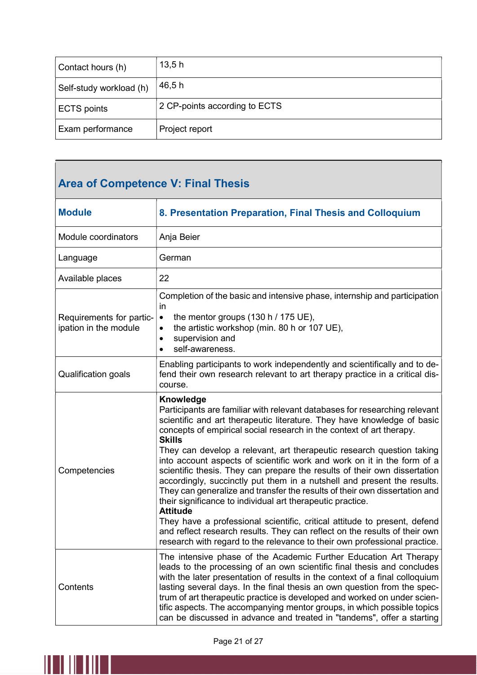| Contact hours (h)       | 13,5h                         |
|-------------------------|-------------------------------|
| Self-study workload (h) | 46,5h                         |
| <b>ECTS</b> points      | 2 CP-points according to ECTS |
| Exam performance        | Project report                |

# Area of Competence V: Final Thesis

| <b>Module</b>                                     | 8. Presentation Preparation, Final Thesis and Colloquium                                                                                                                                                                                                                                                                                                                                                                                                                                                                                                                                                                                                                                                                                                                                                                                                                                                                                                                       |
|---------------------------------------------------|--------------------------------------------------------------------------------------------------------------------------------------------------------------------------------------------------------------------------------------------------------------------------------------------------------------------------------------------------------------------------------------------------------------------------------------------------------------------------------------------------------------------------------------------------------------------------------------------------------------------------------------------------------------------------------------------------------------------------------------------------------------------------------------------------------------------------------------------------------------------------------------------------------------------------------------------------------------------------------|
| Module coordinators                               | Anja Beier                                                                                                                                                                                                                                                                                                                                                                                                                                                                                                                                                                                                                                                                                                                                                                                                                                                                                                                                                                     |
| Language                                          | German                                                                                                                                                                                                                                                                                                                                                                                                                                                                                                                                                                                                                                                                                                                                                                                                                                                                                                                                                                         |
| Available places                                  | 22                                                                                                                                                                                                                                                                                                                                                                                                                                                                                                                                                                                                                                                                                                                                                                                                                                                                                                                                                                             |
| Requirements for partic-<br>ipation in the module | Completion of the basic and intensive phase, internship and participation<br>in<br>the mentor groups $(130 h / 175 UE)$ ,<br>$\bullet$<br>the artistic workshop (min. 80 h or 107 UE),<br>$\bullet$<br>supervision and<br>$\bullet$<br>self-awareness.<br>$\bullet$                                                                                                                                                                                                                                                                                                                                                                                                                                                                                                                                                                                                                                                                                                            |
| <b>Qualification goals</b>                        | Enabling participants to work independently and scientifically and to de-<br>fend their own research relevant to art therapy practice in a critical dis-<br>course.                                                                                                                                                                                                                                                                                                                                                                                                                                                                                                                                                                                                                                                                                                                                                                                                            |
| Competencies                                      | Knowledge<br>Participants are familiar with relevant databases for researching relevant<br>scientific and art therapeutic literature. They have knowledge of basic<br>concepts of empirical social research in the context of art therapy.<br><b>Skills</b><br>They can develop a relevant, art therapeutic research question taking<br>into account aspects of scientific work and work on it in the form of a<br>scientific thesis. They can prepare the results of their own dissertation<br>accordingly, succinctly put them in a nutshell and present the results.<br>They can generalize and transfer the results of their own dissertation and<br>their significance to individual art therapeutic practice.<br><b>Attitude</b><br>They have a professional scientific, critical attitude to present, defend<br>and reflect research results. They can reflect on the results of their own<br>research with regard to the relevance to their own professional practice. |
| Contents                                          | The intensive phase of the Academic Further Education Art Therapy<br>leads to the processing of an own scientific final thesis and concludes<br>with the later presentation of results in the context of a final colloquium<br>lasting several days. In the final thesis an own question from the spec-<br>trum of art therapeutic practice is developed and worked on under scien-<br>tific aspects. The accompanying mentor groups, in which possible topics<br>can be discussed in advance and treated in "tandems", offer a starting                                                                                                                                                                                                                                                                                                                                                                                                                                       |

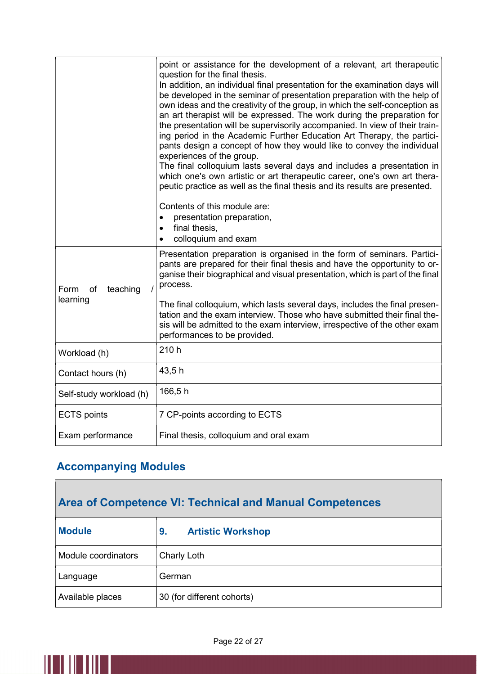|                                    | point or assistance for the development of a relevant, art therapeutic<br>question for the final thesis.<br>In addition, an individual final presentation for the examination days will<br>be developed in the seminar of presentation preparation with the help of<br>own ideas and the creativity of the group, in which the self-conception as<br>an art therapist will be expressed. The work during the preparation for<br>the presentation will be supervisorily accompanied. In view of their train-<br>ing period in the Academic Further Education Art Therapy, the partici-<br>pants design a concept of how they would like to convey the individual<br>experiences of the group.<br>The final colloquium lasts several days and includes a presentation in<br>which one's own artistic or art therapeutic career, one's own art thera-<br>peutic practice as well as the final thesis and its results are presented.<br>Contents of this module are:<br>presentation preparation,<br>final thesis, |
|------------------------------------|----------------------------------------------------------------------------------------------------------------------------------------------------------------------------------------------------------------------------------------------------------------------------------------------------------------------------------------------------------------------------------------------------------------------------------------------------------------------------------------------------------------------------------------------------------------------------------------------------------------------------------------------------------------------------------------------------------------------------------------------------------------------------------------------------------------------------------------------------------------------------------------------------------------------------------------------------------------------------------------------------------------|
|                                    | colloquium and exam                                                                                                                                                                                                                                                                                                                                                                                                                                                                                                                                                                                                                                                                                                                                                                                                                                                                                                                                                                                            |
| Form<br>of<br>teaching<br>learning | Presentation preparation is organised in the form of seminars. Partici-<br>pants are prepared for their final thesis and have the opportunity to or-<br>ganise their biographical and visual presentation, which is part of the final<br>process.                                                                                                                                                                                                                                                                                                                                                                                                                                                                                                                                                                                                                                                                                                                                                              |
|                                    | The final colloquium, which lasts several days, includes the final presen-<br>tation and the exam interview. Those who have submitted their final the-<br>sis will be admitted to the exam interview, irrespective of the other exam<br>performances to be provided.                                                                                                                                                                                                                                                                                                                                                                                                                                                                                                                                                                                                                                                                                                                                           |
| Workload (h)                       | 210 h                                                                                                                                                                                                                                                                                                                                                                                                                                                                                                                                                                                                                                                                                                                                                                                                                                                                                                                                                                                                          |
| Contact hours (h)                  | 43,5h                                                                                                                                                                                                                                                                                                                                                                                                                                                                                                                                                                                                                                                                                                                                                                                                                                                                                                                                                                                                          |
| Self-study workload (h)            | 166,5h                                                                                                                                                                                                                                                                                                                                                                                                                                                                                                                                                                                                                                                                                                                                                                                                                                                                                                                                                                                                         |
| <b>ECTS</b> points                 | 7 CP-points according to ECTS                                                                                                                                                                                                                                                                                                                                                                                                                                                                                                                                                                                                                                                                                                                                                                                                                                                                                                                                                                                  |
| Exam performance                   | Final thesis, colloquium and oral exam                                                                                                                                                                                                                                                                                                                                                                                                                                                                                                                                                                                                                                                                                                                                                                                                                                                                                                                                                                         |

#### Accompanying Modules

II III III

# Area of Competence VI: Technical and Manual Competences Module 9. Artistic Workshop Module coordinators  $\Box$  Charly Loth Language **German** Available places  $\vert$  30 (for different cohorts)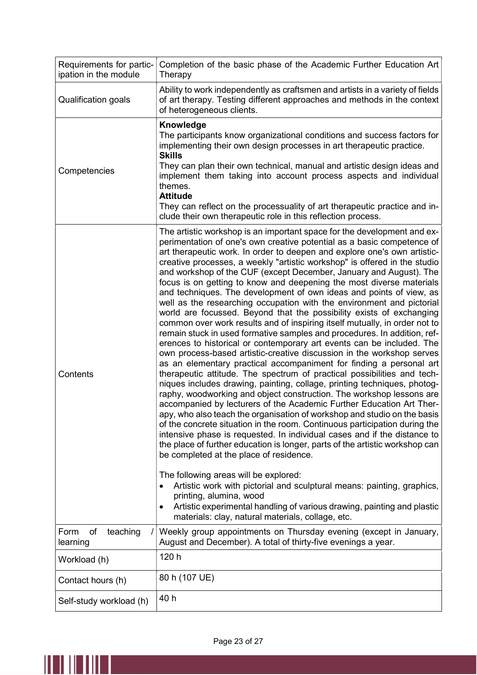| Requirements for partic-<br>ipation in the module | Completion of the basic phase of the Academic Further Education Art<br>Therapy                                                                                                                                                                                                                                                                                                                                                                                                                                                                                                                                                                                                                                                                                                                                                                                                                                                                                                                                                                                                                                                                                                                                                                                                                                                                                                                                                                                                                                                                                                                                                                                                                                                                                                                                                                                                                                                                                                                                                         |
|---------------------------------------------------|----------------------------------------------------------------------------------------------------------------------------------------------------------------------------------------------------------------------------------------------------------------------------------------------------------------------------------------------------------------------------------------------------------------------------------------------------------------------------------------------------------------------------------------------------------------------------------------------------------------------------------------------------------------------------------------------------------------------------------------------------------------------------------------------------------------------------------------------------------------------------------------------------------------------------------------------------------------------------------------------------------------------------------------------------------------------------------------------------------------------------------------------------------------------------------------------------------------------------------------------------------------------------------------------------------------------------------------------------------------------------------------------------------------------------------------------------------------------------------------------------------------------------------------------------------------------------------------------------------------------------------------------------------------------------------------------------------------------------------------------------------------------------------------------------------------------------------------------------------------------------------------------------------------------------------------------------------------------------------------------------------------------------------------|
| Qualification goals                               | Ability to work independently as craftsmen and artists in a variety of fields<br>of art therapy. Testing different approaches and methods in the context<br>of heterogeneous clients.                                                                                                                                                                                                                                                                                                                                                                                                                                                                                                                                                                                                                                                                                                                                                                                                                                                                                                                                                                                                                                                                                                                                                                                                                                                                                                                                                                                                                                                                                                                                                                                                                                                                                                                                                                                                                                                  |
| Competencies                                      | Knowledge<br>The participants know organizational conditions and success factors for<br>implementing their own design processes in art therapeutic practice.<br><b>Skills</b><br>They can plan their own technical, manual and artistic design ideas and<br>implement them taking into account process aspects and individual<br>themes.<br><b>Attitude</b><br>They can reflect on the processuality of art therapeutic practice and in-<br>clude their own therapeutic role in this reflection process.                                                                                                                                                                                                                                                                                                                                                                                                                                                                                                                                                                                                                                                                                                                                                                                                                                                                                                                                                                                                                                                                                                                                                                                                                                                                                                                                                                                                                                                                                                                               |
| Contents                                          | The artistic workshop is an important space for the development and ex-<br>perimentation of one's own creative potential as a basic competence of<br>art therapeutic work. In order to deepen and explore one's own artistic-<br>creative processes, a weekly "artistic workshop" is offered in the studio<br>and workshop of the CUF (except December, January and August). The<br>focus is on getting to know and deepening the most diverse materials<br>and techniques. The development of own ideas and points of view, as<br>well as the researching occupation with the environment and pictorial<br>world are focussed. Beyond that the possibility exists of exchanging<br>common over work results and of inspiring itself mutually, in order not to<br>remain stuck in used formative samples and procedures. In addition, ref-<br>erences to historical or contemporary art events can be included. The<br>own process-based artistic-creative discussion in the workshop serves<br>as an elementary practical accompaniment for finding a personal art<br>therapeutic attitude. The spectrum of practical possibilities and tech-<br>niques includes drawing, painting, collage, printing techniques, photog-<br>raphy, woodworking and object construction. The workshop lessons are<br>accompanied by lecturers of the Academic Further Education Art Ther-<br>apy, who also teach the organisation of workshop and studio on the basis<br>of the concrete situation in the room. Continuous participation during the<br>intensive phase is requested. In individual cases and if the distance to<br>the place of further education is longer, parts of the artistic workshop can<br>be completed at the place of residence.<br>The following areas will be explored:<br>Artistic work with pictorial and sculptural means: painting, graphics,<br>$\bullet$<br>printing, alumina, wood<br>Artistic experimental handling of various drawing, painting and plastic<br>materials: clay, natural materials, collage, etc. |
| of<br>teaching<br>Form<br>learning                | Weekly group appointments on Thursday evening (except in January,<br>August and December). A total of thirty-five evenings a year.                                                                                                                                                                                                                                                                                                                                                                                                                                                                                                                                                                                                                                                                                                                                                                                                                                                                                                                                                                                                                                                                                                                                                                                                                                                                                                                                                                                                                                                                                                                                                                                                                                                                                                                                                                                                                                                                                                     |
| Workload (h)                                      | 120 h                                                                                                                                                                                                                                                                                                                                                                                                                                                                                                                                                                                                                                                                                                                                                                                                                                                                                                                                                                                                                                                                                                                                                                                                                                                                                                                                                                                                                                                                                                                                                                                                                                                                                                                                                                                                                                                                                                                                                                                                                                  |
| Contact hours (h)                                 | 80 h (107 UE)                                                                                                                                                                                                                                                                                                                                                                                                                                                                                                                                                                                                                                                                                                                                                                                                                                                                                                                                                                                                                                                                                                                                                                                                                                                                                                                                                                                                                                                                                                                                                                                                                                                                                                                                                                                                                                                                                                                                                                                                                          |
| Self-study workload (h)                           | 40 h                                                                                                                                                                                                                                                                                                                                                                                                                                                                                                                                                                                                                                                                                                                                                                                                                                                                                                                                                                                                                                                                                                                                                                                                                                                                                                                                                                                                                                                                                                                                                                                                                                                                                                                                                                                                                                                                                                                                                                                                                                   |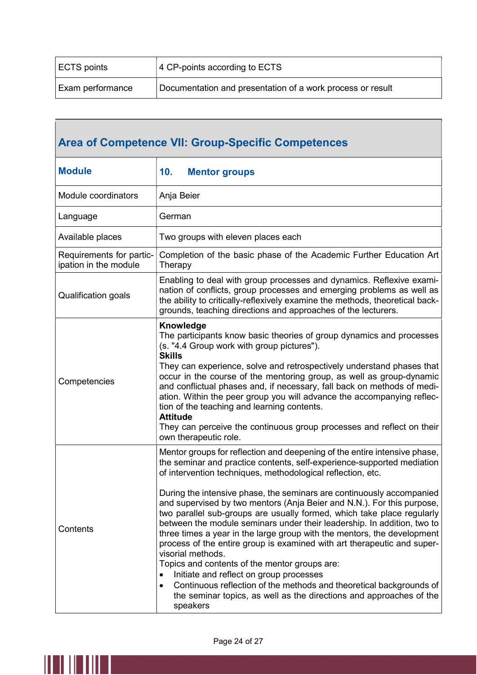| ECTS points             | 4 CP-points according to ECTS                              |
|-------------------------|------------------------------------------------------------|
| <b>Exam performance</b> | Documentation and presentation of a work process or result |

| <b>Area of Competence VII: Group-Specific Competences</b> |                                                                                                                                                                                                                                                                                                                                                                                                                                                                                                                                                                                                                                                                                                                                                                                                                                                                                                                                                                                       |
|-----------------------------------------------------------|---------------------------------------------------------------------------------------------------------------------------------------------------------------------------------------------------------------------------------------------------------------------------------------------------------------------------------------------------------------------------------------------------------------------------------------------------------------------------------------------------------------------------------------------------------------------------------------------------------------------------------------------------------------------------------------------------------------------------------------------------------------------------------------------------------------------------------------------------------------------------------------------------------------------------------------------------------------------------------------|
| <b>Module</b>                                             | 10.<br><b>Mentor groups</b>                                                                                                                                                                                                                                                                                                                                                                                                                                                                                                                                                                                                                                                                                                                                                                                                                                                                                                                                                           |
| Module coordinators                                       | Anja Beier                                                                                                                                                                                                                                                                                                                                                                                                                                                                                                                                                                                                                                                                                                                                                                                                                                                                                                                                                                            |
| Language                                                  | German                                                                                                                                                                                                                                                                                                                                                                                                                                                                                                                                                                                                                                                                                                                                                                                                                                                                                                                                                                                |
| Available places                                          | Two groups with eleven places each                                                                                                                                                                                                                                                                                                                                                                                                                                                                                                                                                                                                                                                                                                                                                                                                                                                                                                                                                    |
| Requirements for partic-<br>ipation in the module         | Completion of the basic phase of the Academic Further Education Art<br>Therapy                                                                                                                                                                                                                                                                                                                                                                                                                                                                                                                                                                                                                                                                                                                                                                                                                                                                                                        |
| <b>Qualification goals</b>                                | Enabling to deal with group processes and dynamics. Reflexive exami-<br>nation of conflicts, group processes and emerging problems as well as<br>the ability to critically-reflexively examine the methods, theoretical back-<br>grounds, teaching directions and approaches of the lecturers.                                                                                                                                                                                                                                                                                                                                                                                                                                                                                                                                                                                                                                                                                        |
| Competencies                                              | Knowledge<br>The participants know basic theories of group dynamics and processes<br>(s. "4.4 Group work with group pictures").<br><b>Skills</b><br>They can experience, solve and retrospectively understand phases that<br>occur in the course of the mentoring group, as well as group-dynamic<br>and conflictual phases and, if necessary, fall back on methods of medi-<br>ation. Within the peer group you will advance the accompanying reflec-<br>tion of the teaching and learning contents.<br><b>Attitude</b><br>They can perceive the continuous group processes and reflect on their<br>own therapeutic role.                                                                                                                                                                                                                                                                                                                                                            |
| Contents                                                  | Mentor groups for reflection and deepening of the entire intensive phase,<br>the seminar and practice contents, self-experience-supported mediation<br>of intervention techniques, methodological reflection, etc.<br>During the intensive phase, the seminars are continuously accompanied<br>and supervised by two mentors (Anja Beier and N.N.). For this purpose,<br>two parallel sub-groups are usually formed, which take place regularly<br>between the module seminars under their leadership. In addition, two to<br>three times a year in the large group with the mentors, the development<br>process of the entire group is examined with art therapeutic and super-<br>visorial methods.<br>Topics and contents of the mentor groups are:<br>Initiate and reflect on group processes<br>$\bullet$<br>Continuous reflection of the methods and theoretical backgrounds of<br>$\bullet$<br>the seminar topics, as well as the directions and approaches of the<br>speakers |

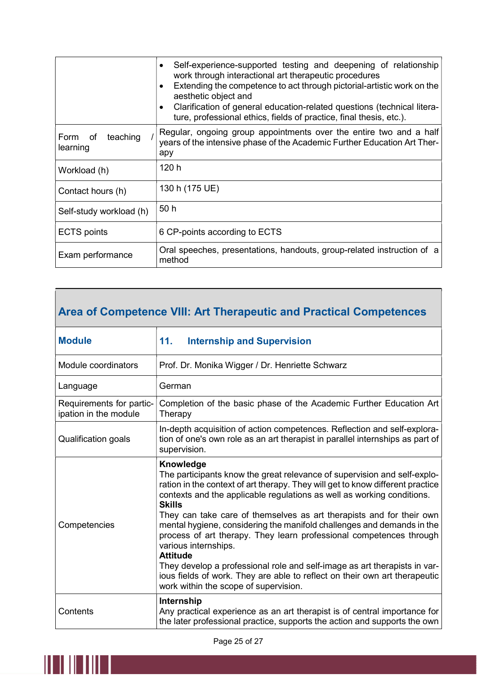|                              | Self-experience-supported testing and deepening of relationship<br>$\bullet$<br>work through interactional art therapeutic procedures<br>Extending the competence to act through pictorial-artistic work on the<br>$\bullet$<br>aesthetic object and<br>Clarification of general education-related questions (technical litera-<br>$\bullet$<br>ture, professional ethics, fields of practice, final thesis, etc.). |
|------------------------------|---------------------------------------------------------------------------------------------------------------------------------------------------------------------------------------------------------------------------------------------------------------------------------------------------------------------------------------------------------------------------------------------------------------------|
| Form of teaching<br>learning | Regular, ongoing group appointments over the entire two and a half<br>years of the intensive phase of the Academic Further Education Art Ther-<br>apy                                                                                                                                                                                                                                                               |
| Workload (h)                 | 120 h                                                                                                                                                                                                                                                                                                                                                                                                               |
| Contact hours (h)            | 130 h (175 UE)                                                                                                                                                                                                                                                                                                                                                                                                      |
| Self-study workload (h)      | 50h                                                                                                                                                                                                                                                                                                                                                                                                                 |
| <b>ECTS</b> points           | 6 CP-points according to ECTS                                                                                                                                                                                                                                                                                                                                                                                       |
| Exam performance             | Oral speeches, presentations, handouts, group-related instruction of a<br>method                                                                                                                                                                                                                                                                                                                                    |

### Area of Competence VIII: Art Therapeutic and Practical Competences

| <b>Module</b>                                     | 11.<br><b>Internship and Supervision</b>                                                                                                                                                                                                                                                                                                                                                                                                                                                                                                                                                                                                                                                                                                   |
|---------------------------------------------------|--------------------------------------------------------------------------------------------------------------------------------------------------------------------------------------------------------------------------------------------------------------------------------------------------------------------------------------------------------------------------------------------------------------------------------------------------------------------------------------------------------------------------------------------------------------------------------------------------------------------------------------------------------------------------------------------------------------------------------------------|
| Module coordinators                               | Prof. Dr. Monika Wigger / Dr. Henriette Schwarz                                                                                                                                                                                                                                                                                                                                                                                                                                                                                                                                                                                                                                                                                            |
| Language                                          | German                                                                                                                                                                                                                                                                                                                                                                                                                                                                                                                                                                                                                                                                                                                                     |
| Requirements for partic-<br>ipation in the module | Completion of the basic phase of the Academic Further Education Art<br>Therapy                                                                                                                                                                                                                                                                                                                                                                                                                                                                                                                                                                                                                                                             |
| Qualification goals                               | In-depth acquisition of action competences. Reflection and self-explora-<br>tion of one's own role as an art therapist in parallel internships as part of<br>supervision.                                                                                                                                                                                                                                                                                                                                                                                                                                                                                                                                                                  |
| Competencies                                      | Knowledge<br>The participants know the great relevance of supervision and self-explo-<br>ration in the context of art therapy. They will get to know different practice<br>contexts and the applicable regulations as well as working conditions.<br><b>Skills</b><br>They can take care of themselves as art therapists and for their own<br>mental hygiene, considering the manifold challenges and demands in the<br>process of art therapy. They learn professional competences through<br>various internships.<br><b>Attitude</b><br>They develop a professional role and self-image as art therapists in var-<br>jous fields of work. They are able to reflect on their own art therapeutic<br>work within the scope of supervision. |
| Contents                                          | Internship<br>Any practical experience as an art therapist is of central importance for<br>the later professional practice, supports the action and supports the own                                                                                                                                                                                                                                                                                                                                                                                                                                                                                                                                                                       |

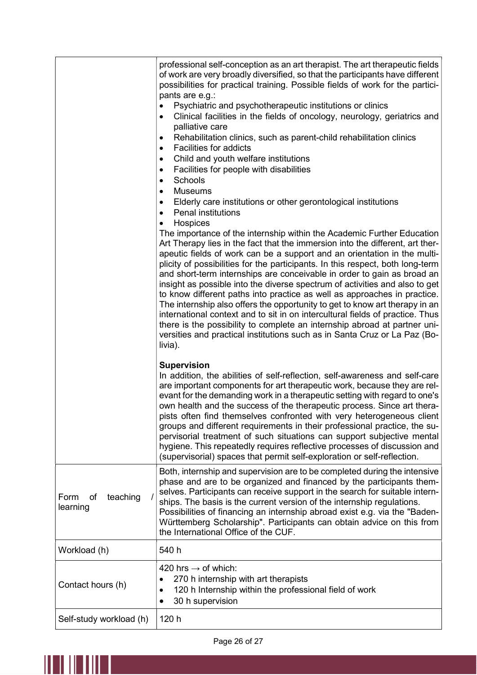|                                    | professional self-conception as an art therapist. The art therapeutic fields<br>of work are very broadly diversified, so that the participants have different<br>possibilities for practical training. Possible fields of work for the partici-<br>pants are e.g.:<br>Psychiatric and psychotherapeutic institutions or clinics<br>Clinical facilities in the fields of oncology, neurology, geriatrics and<br>$\bullet$<br>palliative care<br>Rehabilitation clinics, such as parent-child rehabilitation clinics<br>$\bullet$<br><b>Facilities for addicts</b><br>٠<br>Child and youth welfare institutions<br>$\bullet$<br>Facilities for people with disabilities<br>$\bullet$<br>Schools<br>$\bullet$<br><b>Museums</b><br>$\bullet$<br>Elderly care institutions or other gerontological institutions<br>$\bullet$<br><b>Penal institutions</b><br>$\bullet$<br>Hospices<br>The importance of the internship within the Academic Further Education<br>Art Therapy lies in the fact that the immersion into the different, art ther-<br>apeutic fields of work can be a support and an orientation in the multi-<br>plicity of possibilities for the participants. In this respect, both long-term<br>and short-term internships are conceivable in order to gain as broad an<br>insight as possible into the diverse spectrum of activities and also to get<br>to know different paths into practice as well as approaches in practice.<br>The internship also offers the opportunity to get to know art therapy in an<br>international context and to sit in on intercultural fields of practice. Thus<br>there is the possibility to complete an internship abroad at partner uni-<br>versities and practical institutions such as in Santa Cruz or La Paz (Bo-<br>livia).<br><b>Supervision</b> |
|------------------------------------|----------------------------------------------------------------------------------------------------------------------------------------------------------------------------------------------------------------------------------------------------------------------------------------------------------------------------------------------------------------------------------------------------------------------------------------------------------------------------------------------------------------------------------------------------------------------------------------------------------------------------------------------------------------------------------------------------------------------------------------------------------------------------------------------------------------------------------------------------------------------------------------------------------------------------------------------------------------------------------------------------------------------------------------------------------------------------------------------------------------------------------------------------------------------------------------------------------------------------------------------------------------------------------------------------------------------------------------------------------------------------------------------------------------------------------------------------------------------------------------------------------------------------------------------------------------------------------------------------------------------------------------------------------------------------------------------------------------------------------------------------------------------------------------------------------|
|                                    | In addition, the abilities of self-reflection, self-awareness and self-care<br>are important components for art therapeutic work, because they are rel-<br>evant for the demanding work in a therapeutic setting with regard to one's<br>own health and the success of the therapeutic process. Since art thera-<br>pists often find themselves confronted with very heterogeneous client<br>groups and different requirements in their professional practice, the su-<br>pervisorial treatment of such situations can support subjective mental<br>hygiene. This repeatedly requires reflective processes of discussion and<br>(supervisorial) spaces that permit self-exploration or self-reflection.                                                                                                                                                                                                                                                                                                                                                                                                                                                                                                                                                                                                                                                                                                                                                                                                                                                                                                                                                                                                                                                                                                  |
| teaching<br>Form<br>of<br>learning | Both, internship and supervision are to be completed during the intensive<br>phase and are to be organized and financed by the participants them-<br>selves. Participants can receive support in the search for suitable intern-<br>ships. The basis is the current version of the internship regulations.<br>Possibilities of financing an internship abroad exist e.g. via the "Baden-<br>Württemberg Scholarship". Participants can obtain advice on this from<br>the International Office of the CUF.                                                                                                                                                                                                                                                                                                                                                                                                                                                                                                                                                                                                                                                                                                                                                                                                                                                                                                                                                                                                                                                                                                                                                                                                                                                                                                |
| Workload (h)                       | 540 h                                                                                                                                                                                                                                                                                                                                                                                                                                                                                                                                                                                                                                                                                                                                                                                                                                                                                                                                                                                                                                                                                                                                                                                                                                                                                                                                                                                                                                                                                                                                                                                                                                                                                                                                                                                                    |
| Contact hours (h)                  | 420 hrs $\rightarrow$ of which:<br>270 h internship with art therapists<br>120 h Internship within the professional field of work<br>٠<br>30 h supervision<br>٠                                                                                                                                                                                                                                                                                                                                                                                                                                                                                                                                                                                                                                                                                                                                                                                                                                                                                                                                                                                                                                                                                                                                                                                                                                                                                                                                                                                                                                                                                                                                                                                                                                          |
| Self-study workload (h)            | 120 h                                                                                                                                                                                                                                                                                                                                                                                                                                                                                                                                                                                                                                                                                                                                                                                                                                                                                                                                                                                                                                                                                                                                                                                                                                                                                                                                                                                                                                                                                                                                                                                                                                                                                                                                                                                                    |